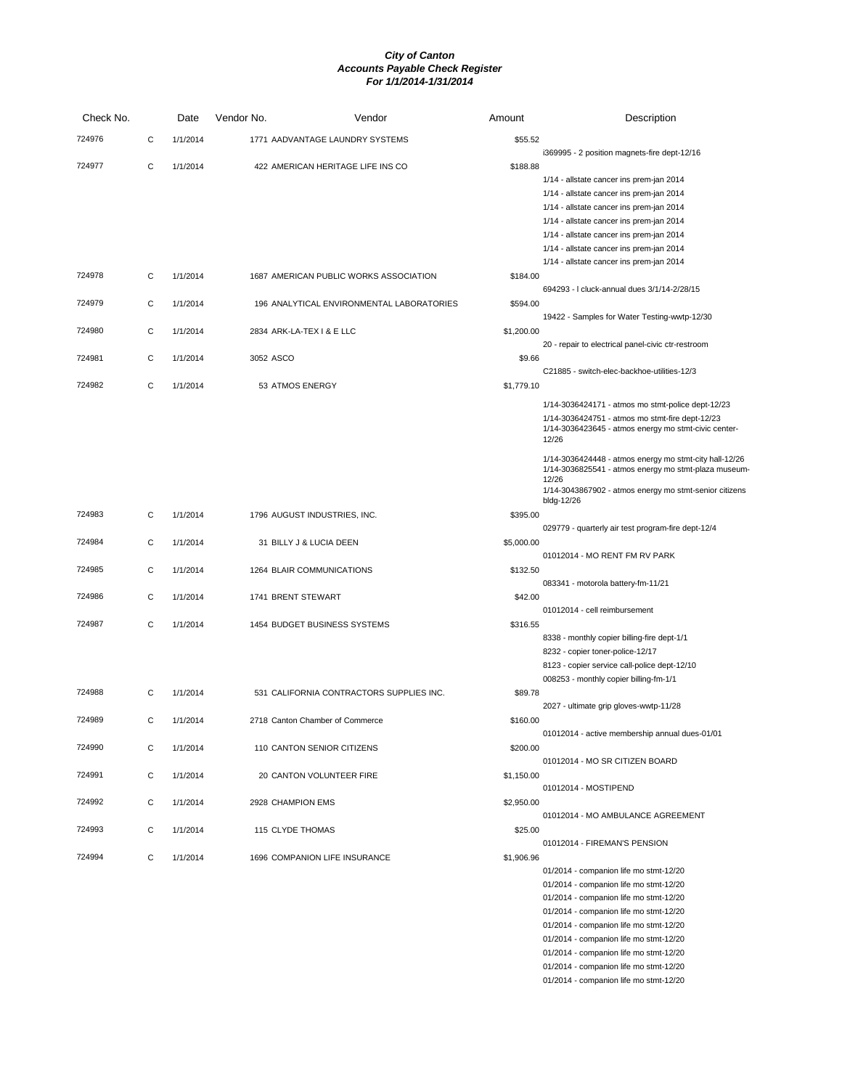| Check No. |   | Date     | Vendor No.         | Vendor                                    | Amount     | Description                                                                                          |
|-----------|---|----------|--------------------|-------------------------------------------|------------|------------------------------------------------------------------------------------------------------|
| 724976    | С | 1/1/2014 |                    | 1771 AADVANTAGE LAUNDRY SYSTEMS           | \$55.52    |                                                                                                      |
| 724977    | C | 1/1/2014 |                    | 422 AMERICAN HERITAGE LIFE INS CO         | \$188.88   | i369995 - 2 position magnets-fire dept-12/16                                                         |
|           |   |          |                    |                                           |            | 1/14 - allstate cancer ins prem-jan 2014                                                             |
|           |   |          |                    |                                           |            | 1/14 - allstate cancer ins prem-jan 2014                                                             |
|           |   |          |                    |                                           |            | 1/14 - allstate cancer ins prem-jan 2014                                                             |
|           |   |          |                    |                                           |            | 1/14 - allstate cancer ins prem-jan 2014                                                             |
|           |   |          |                    |                                           |            | 1/14 - allstate cancer ins prem-jan 2014                                                             |
|           |   |          |                    |                                           |            | 1/14 - allstate cancer ins prem-jan 2014                                                             |
|           |   |          |                    |                                           |            | 1/14 - allstate cancer ins prem-jan 2014                                                             |
| 724978    | С | 1/1/2014 |                    | 1687 AMERICAN PUBLIC WORKS ASSOCIATION    | \$184.00   |                                                                                                      |
|           |   |          |                    |                                           |            | 694293 - I cluck-annual dues 3/1/14-2/28/15                                                          |
| 724979    | C | 1/1/2014 |                    | 196 ANALYTICAL ENVIRONMENTAL LABORATORIES | \$594.00   |                                                                                                      |
|           |   |          |                    |                                           |            | 19422 - Samples for Water Testing-wwtp-12/30                                                         |
| 724980    | C | 1/1/2014 |                    | 2834 ARK-LA-TEX I & E LLC                 | \$1,200.00 |                                                                                                      |
| 724981    | С | 1/1/2014 | 3052 ASCO          |                                           | \$9.66     | 20 - repair to electrical panel-civic ctr-restroom                                                   |
|           |   |          |                    |                                           |            | C21885 - switch-elec-backhoe-utilities-12/3                                                          |
| 724982    | C | 1/1/2014 | 53 ATMOS ENERGY    |                                           | \$1,779.10 |                                                                                                      |
|           |   |          |                    |                                           |            |                                                                                                      |
|           |   |          |                    |                                           |            | 1/14-3036424171 - atmos mo stmt-police dept-12/23<br>1/14-3036424751 - atmos mo stmt-fire dept-12/23 |
|           |   |          |                    |                                           |            | 1/14-3036423645 - atmos energy mo stmt-civic center-                                                 |
|           |   |          |                    |                                           |            | 12/26                                                                                                |
|           |   |          |                    |                                           |            | 1/14-3036424448 - atmos energy mo stmt-city hall-12/26                                               |
|           |   |          |                    |                                           |            | 1/14-3036825541 - atmos energy mo stmt-plaza museum-                                                 |
|           |   |          |                    |                                           |            | 12/26<br>1/14-3043867902 - atmos energy mo stmt-senior citizens                                      |
|           |   |          |                    |                                           |            | bldg-12/26                                                                                           |
| 724983    | C | 1/1/2014 |                    | 1796 AUGUST INDUSTRIES, INC.              | \$395.00   |                                                                                                      |
|           |   |          |                    |                                           |            | 029779 - quarterly air test program-fire dept-12/4                                                   |
| 724984    | С | 1/1/2014 |                    | 31 BILLY J & LUCIA DEEN                   | \$5,000.00 |                                                                                                      |
| 724985    |   |          |                    |                                           |            | 01012014 - MO RENT FM RV PARK                                                                        |
|           | C | 1/1/2014 |                    | 1264 BLAIR COMMUNICATIONS                 | \$132.50   | 083341 - motorola battery-fm-11/21                                                                   |
| 724986    | С | 1/1/2014 | 1741 BRENT STEWART |                                           | \$42.00    |                                                                                                      |
|           |   |          |                    |                                           |            | 01012014 - cell reimbursement                                                                        |
| 724987    | С | 1/1/2014 |                    | 1454 BUDGET BUSINESS SYSTEMS              | \$316.55   |                                                                                                      |
|           |   |          |                    |                                           |            | 8338 - monthly copier billing-fire dept-1/1                                                          |
|           |   |          |                    |                                           |            | 8232 - copier toner-police-12/17                                                                     |
|           |   |          |                    |                                           |            | 8123 - copier service call-police dept-12/10                                                         |
|           |   |          |                    |                                           |            | 008253 - monthly copier billing-fm-1/1                                                               |
| 724988    | С | 1/1/2014 |                    | 531 CALIFORNIA CONTRACTORS SUPPLIES INC.  | \$89.78    |                                                                                                      |
| 724989    | C | 1/1/2014 |                    | 2718 Canton Chamber of Commerce           | \$160.00   | 2027 - ultimate grip gloves-wwtp-11/28                                                               |
|           |   |          |                    |                                           |            | 01012014 - active membership annual dues-01/01                                                       |
| 724990    | С | 1/1/2014 |                    | 110 CANTON SENIOR CITIZENS                | \$200.00   |                                                                                                      |
|           |   |          |                    |                                           |            | 01012014 - MO SR CITIZEN BOARD                                                                       |
| 724991    | C | 1/1/2014 |                    | 20 CANTON VOLUNTEER FIRE                  | \$1,150.00 |                                                                                                      |
|           |   |          |                    |                                           |            | 01012014 - MOSTIPEND                                                                                 |
| 724992    | C | 1/1/2014 | 2928 CHAMPION EMS  |                                           | \$2,950.00 |                                                                                                      |
|           |   |          |                    |                                           |            | 01012014 - MO AMBULANCE AGREEMENT                                                                    |
| 724993    | C | 1/1/2014 | 115 CLYDE THOMAS   |                                           | \$25.00    |                                                                                                      |
|           |   |          |                    |                                           |            | 01012014 - FIREMAN'S PENSION                                                                         |
| 724994    | C | 1/1/2014 |                    | 1696 COMPANION LIFE INSURANCE             | \$1,906.96 | 01/2014 - companion life mo stmt-12/20                                                               |
|           |   |          |                    |                                           |            | 01/2014 - companion life mo stmt-12/20                                                               |
|           |   |          |                    |                                           |            | 01/2014 - companion life mo stmt-12/20                                                               |
|           |   |          |                    |                                           |            | 01/2014 - companion life mo stmt-12/20                                                               |
|           |   |          |                    |                                           |            | 01/2014 - companion life mo stmt-12/20                                                               |
|           |   |          |                    |                                           |            | 01/2014 - companion life mo stmt-12/20                                                               |
|           |   |          |                    |                                           |            | 01/2014 - companion life mo stmt-12/20                                                               |

01/2014 - companion life mo stmt-12/20 01/2014 - companion life mo stmt-12/20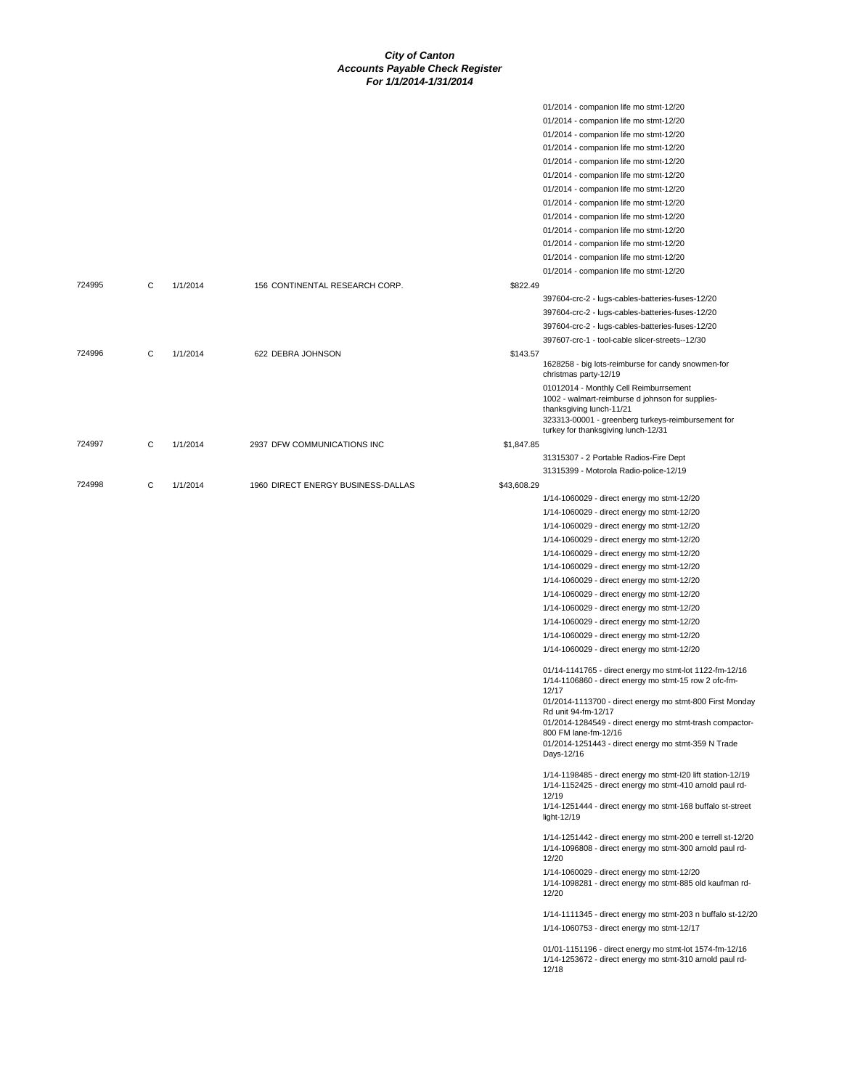|        |   |          |                                    |             | 01/2014 - companion life mo stmt-12/20                                                                                           |
|--------|---|----------|------------------------------------|-------------|----------------------------------------------------------------------------------------------------------------------------------|
|        |   |          |                                    |             |                                                                                                                                  |
|        |   |          |                                    |             | 01/2014 - companion life mo stmt-12/20                                                                                           |
|        |   |          |                                    |             | 01/2014 - companion life mo stmt-12/20                                                                                           |
|        |   |          |                                    |             | 01/2014 - companion life mo stmt-12/20                                                                                           |
|        |   |          |                                    |             | 01/2014 - companion life mo stmt-12/20                                                                                           |
|        |   |          |                                    |             | 01/2014 - companion life mo stmt-12/20                                                                                           |
|        |   |          |                                    |             | 01/2014 - companion life mo stmt-12/20                                                                                           |
|        |   |          |                                    |             | 01/2014 - companion life mo stmt-12/20                                                                                           |
|        |   |          |                                    |             | 01/2014 - companion life mo stmt-12/20                                                                                           |
|        |   |          |                                    |             | 01/2014 - companion life mo stmt-12/20                                                                                           |
|        |   |          |                                    |             | 01/2014 - companion life mo stmt-12/20                                                                                           |
|        |   |          |                                    |             | 01/2014 - companion life mo stmt-12/20                                                                                           |
|        |   |          |                                    |             | 01/2014 - companion life mo stmt-12/20                                                                                           |
| 724995 | С | 1/1/2014 | 156 CONTINENTAL RESEARCH CORP.     | \$822.49    |                                                                                                                                  |
|        |   |          |                                    |             | 397604-crc-2 - lugs-cables-batteries-fuses-12/20                                                                                 |
|        |   |          |                                    |             | 397604-crc-2 - lugs-cables-batteries-fuses-12/20                                                                                 |
|        |   |          |                                    |             | 397604-crc-2 - lugs-cables-batteries-fuses-12/20                                                                                 |
|        |   |          |                                    |             | 397607-crc-1 - tool-cable slicer-streets--12/30                                                                                  |
| 724996 | C | 1/1/2014 | 622 DEBRA JOHNSON                  | \$143.57    |                                                                                                                                  |
|        |   |          |                                    |             | 1628258 - big lots-reimburse for candy snowmen-for<br>christmas party-12/19                                                      |
|        |   |          |                                    |             | 01012014 - Monthly Cell Reimburrsement                                                                                           |
|        |   |          |                                    |             | 1002 - walmart-reimburse d johnson for supplies-                                                                                 |
|        |   |          |                                    |             | thanksgiving lunch-11/21                                                                                                         |
|        |   |          |                                    |             | 323313-00001 - greenberg turkeys-reimbursement for<br>turkey for thanksgiving lunch-12/31                                        |
| 724997 | C | 1/1/2014 | 2937 DFW COMMUNICATIONS INC        | \$1,847.85  |                                                                                                                                  |
|        |   |          |                                    |             | 31315307 - 2 Portable Radios-Fire Dept                                                                                           |
|        |   |          |                                    |             | 31315399 - Motorola Radio-police-12/19                                                                                           |
| 724998 | C | 1/1/2014 | 1960 DIRECT ENERGY BUSINESS-DALLAS | \$43,608.29 |                                                                                                                                  |
|        |   |          |                                    |             | 1/14-1060029 - direct energy mo stmt-12/20                                                                                       |
|        |   |          |                                    |             | 1/14-1060029 - direct energy mo stmt-12/20                                                                                       |
|        |   |          |                                    |             | 1/14-1060029 - direct energy mo stmt-12/20                                                                                       |
|        |   |          |                                    |             |                                                                                                                                  |
|        |   |          |                                    |             | 1/14-1060029 - direct energy mo stmt-12/20                                                                                       |
|        |   |          |                                    |             | 1/14-1060029 - direct energy mo stmt-12/20                                                                                       |
|        |   |          |                                    |             | 1/14-1060029 - direct energy mo stmt-12/20                                                                                       |
|        |   |          |                                    |             | 1/14-1060029 - direct energy mo stmt-12/20                                                                                       |
|        |   |          |                                    |             | 1/14-1060029 - direct energy mo stmt-12/20                                                                                       |
|        |   |          |                                    |             | 1/14-1060029 - direct energy mo stmt-12/20                                                                                       |
|        |   |          |                                    |             | 1/14-1060029 - direct energy mo stmt-12/20                                                                                       |
|        |   |          |                                    |             | 1/14-1060029 - direct energy mo stmt-12/20                                                                                       |
|        |   |          |                                    |             | 1/14-1060029 - direct energy mo stmt-12/20                                                                                       |
|        |   |          |                                    |             | 01/14-1141765 - direct energy mo stmt-lot 1122-fm-12/16<br>1/14-1106860 - direct energy mo stmt-15 row 2 ofc-fm-                 |
|        |   |          |                                    |             | 12/17                                                                                                                            |
|        |   |          |                                    |             | 01/2014-1113700 - direct energy mo stmt-800 First Monday                                                                         |
|        |   |          |                                    |             | Rd unit 94-fm-12/17                                                                                                              |
|        |   |          |                                    |             | 01/2014-1284549 - direct energy mo stmt-trash compactor-<br>800 FM lane-fm-12/16                                                 |
|        |   |          |                                    |             | 01/2014-1251443 - direct energy mo stmt-359 N Trade                                                                              |
|        |   |          |                                    |             | Days-12/16                                                                                                                       |
|        |   |          |                                    |             | 1/14-1198485 - direct energy mo stmt-I20 lift station-12/19                                                                      |
|        |   |          |                                    |             | 1/14-1152425 - direct energy mo stmt-410 arnold paul rd-                                                                         |
|        |   |          |                                    |             | 12/19<br>1/14-1251444 - direct energy mo stmt-168 buffalo st-street                                                              |
|        |   |          |                                    |             | light-12/19                                                                                                                      |
|        |   |          |                                    |             | 1/14-1251442 - direct energy mo stmt-200 e terrell st-12/20<br>1/14-1096808 - direct energy mo stmt-300 arnold paul rd-<br>12/20 |
|        |   |          |                                    |             | 1/14-1060029 - direct energy mo stmt-12/20                                                                                       |
|        |   |          |                                    |             | 1/14-1098281 - direct energy mo stmt-885 old kaufman rd-<br>12/20                                                                |
|        |   |          |                                    |             |                                                                                                                                  |
|        |   |          |                                    |             | 1/14-1111345 - direct energy mo stmt-203 n buffalo st-12/20<br>1/14-1060753 - direct energy mo stmt-12/17                        |
|        |   |          |                                    |             |                                                                                                                                  |
|        |   |          |                                    |             | 01/01-1151196 - direct energy mo stmt-lot 1574-fm-12/16<br>1/14-1253672 - direct energy mo stmt-310 arnold paul rd-<br>12/18     |
|        |   |          |                                    |             |                                                                                                                                  |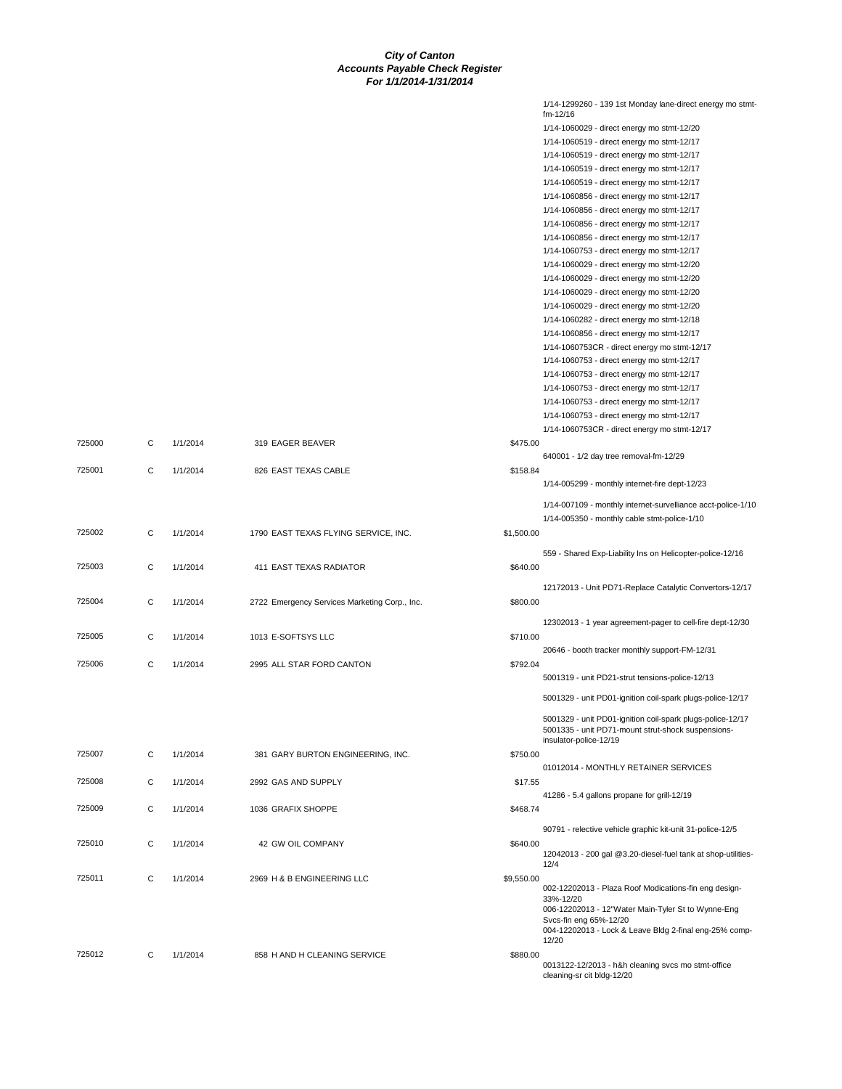|        |   |          |                                               |            | 1/14-1299260 - 139 1st Monday lane-direct energy mo stmt-<br>fm-12/16            |
|--------|---|----------|-----------------------------------------------|------------|----------------------------------------------------------------------------------|
|        |   |          |                                               |            | 1/14-1060029 - direct energy mo stmt-12/20                                       |
|        |   |          |                                               |            | 1/14-1060519 - direct energy mo stmt-12/17                                       |
|        |   |          |                                               |            | 1/14-1060519 - direct energy mo stmt-12/17                                       |
|        |   |          |                                               |            | 1/14-1060519 - direct energy mo stmt-12/17                                       |
|        |   |          |                                               |            | 1/14-1060519 - direct energy mo stmt-12/17                                       |
|        |   |          |                                               |            | 1/14-1060856 - direct energy mo stmt-12/17                                       |
|        |   |          |                                               |            | 1/14-1060856 - direct energy mo stmt-12/17                                       |
|        |   |          |                                               |            | 1/14-1060856 - direct energy mo stmt-12/17                                       |
|        |   |          |                                               |            | 1/14-1060856 - direct energy mo stmt-12/17                                       |
|        |   |          |                                               |            | 1/14-1060753 - direct energy mo stmt-12/17                                       |
|        |   |          |                                               |            | 1/14-1060029 - direct energy mo stmt-12/20                                       |
|        |   |          |                                               |            | 1/14-1060029 - direct energy mo stmt-12/20                                       |
|        |   |          |                                               |            | 1/14-1060029 - direct energy mo stmt-12/20                                       |
|        |   |          |                                               |            | 1/14-1060029 - direct energy mo stmt-12/20                                       |
|        |   |          |                                               |            | 1/14-1060282 - direct energy mo stmt-12/18                                       |
|        |   |          |                                               |            | 1/14-1060856 - direct energy mo stmt-12/17                                       |
|        |   |          |                                               |            | 1/14-1060753CR - direct energy mo stmt-12/17                                     |
|        |   |          |                                               |            | 1/14-1060753 - direct energy mo stmt-12/17                                       |
|        |   |          |                                               |            | 1/14-1060753 - direct energy mo stmt-12/17                                       |
|        |   |          |                                               |            | 1/14-1060753 - direct energy mo stmt-12/17                                       |
|        |   |          |                                               |            | 1/14-1060753 - direct energy mo stmt-12/17                                       |
|        |   |          |                                               |            | 1/14-1060753 - direct energy mo stmt-12/17                                       |
|        |   |          |                                               |            | 1/14-1060753CR - direct energy mo stmt-12/17                                     |
| 725000 | С | 1/1/2014 | 319 EAGER BEAVER                              | \$475.00   |                                                                                  |
|        |   |          |                                               |            | 640001 - 1/2 day tree removal-fm-12/29                                           |
| 725001 | C | 1/1/2014 | 826 EAST TEXAS CABLE                          | \$158.84   |                                                                                  |
|        |   |          |                                               |            | 1/14-005299 - monthly internet-fire dept-12/23                                   |
|        |   |          |                                               |            | 1/14-007109 - monthly internet-survelliance acct-police-1/10                     |
|        |   |          |                                               |            | 1/14-005350 - monthly cable stmt-police-1/10                                     |
| 725002 | C | 1/1/2014 | 1790 EAST TEXAS FLYING SERVICE, INC.          | \$1,500.00 |                                                                                  |
|        |   |          |                                               |            |                                                                                  |
|        |   |          |                                               |            | 559 - Shared Exp-Liability Ins on Helicopter-police-12/16                        |
| 725003 | C | 1/1/2014 | 411 EAST TEXAS RADIATOR                       | \$640.00   |                                                                                  |
|        |   |          |                                               |            | 12172013 - Unit PD71-Replace Catalytic Convertors-12/17                          |
| 725004 | C | 1/1/2014 | 2722 Emergency Services Marketing Corp., Inc. | \$800.00   |                                                                                  |
|        |   |          |                                               |            |                                                                                  |
|        |   |          |                                               |            | 12302013 - 1 year agreement-pager to cell-fire dept-12/30                        |
| 725005 | C | 1/1/2014 | 1013 E-SOFTSYS LLC                            | \$710.00   |                                                                                  |
|        |   |          |                                               |            | 20646 - booth tracker monthly support-FM-12/31                                   |
| 725006 | C | 1/1/2014 | 2995 ALL STAR FORD CANTON                     | \$792.04   |                                                                                  |
|        |   |          |                                               |            | 5001319 - unit PD21-strut tensions-police-12/13                                  |
|        |   |          |                                               |            | 5001329 - unit PD01-ignition coil-spark plugs-police-12/17                       |
|        |   |          |                                               |            | 5001329 - unit PD01-ignition coil-spark plugs-police-12/17                       |
|        |   |          |                                               |            | 5001335 - unit PD71-mount strut-shock suspensions-                               |
|        |   |          |                                               |            | insulator-police-12/19                                                           |
| 725007 | C | 1/1/2014 | 381 GARY BURTON ENGINEERING, INC.             | \$750.00   |                                                                                  |
|        |   |          |                                               |            | 01012014 - MONTHLY RETAINER SERVICES                                             |
| 725008 | C | 1/1/2014 | 2992 GAS AND SUPPLY                           | \$17.55    |                                                                                  |
|        |   |          |                                               |            | 41286 - 5.4 gallons propane for grill-12/19                                      |
| 725009 | C | 1/1/2014 | 1036 GRAFIX SHOPPE                            | \$468.74   |                                                                                  |
|        |   |          |                                               |            | 90791 - relective vehicle graphic kit-unit 31-police-12/5                        |
| 725010 | C | 1/1/2014 | 42 GW OIL COMPANY                             | \$640.00   |                                                                                  |
|        |   |          |                                               |            | 12042013 - 200 gal @3.20-diesel-fuel tank at shop-utilities-<br>12/4             |
| 725011 | C | 1/1/2014 | 2969 H & B ENGINEERING LLC                    | \$9,550.00 |                                                                                  |
|        |   |          |                                               |            | 002-12202013 - Plaza Roof Modications-fin eng design-                            |
|        |   |          |                                               |            | 33%-12/20                                                                        |
|        |   |          |                                               |            | 006-12202013 - 12"Water Main-Tyler St to Wynne-Eng<br>Svcs-fin eng 65%-12/20     |
|        |   |          |                                               |            | 004-12202013 - Lock & Leave Bldg 2-final eng-25% comp-                           |
|        |   |          |                                               |            | 12/20                                                                            |
| 725012 | C | 1/1/2014 | 858 H AND H CLEANING SERVICE                  | \$880.00   |                                                                                  |
|        |   |          |                                               |            | 0013122-12/2013 - h&h cleaning svcs mo stmt-office<br>cleaning-sr cit bldg-12/20 |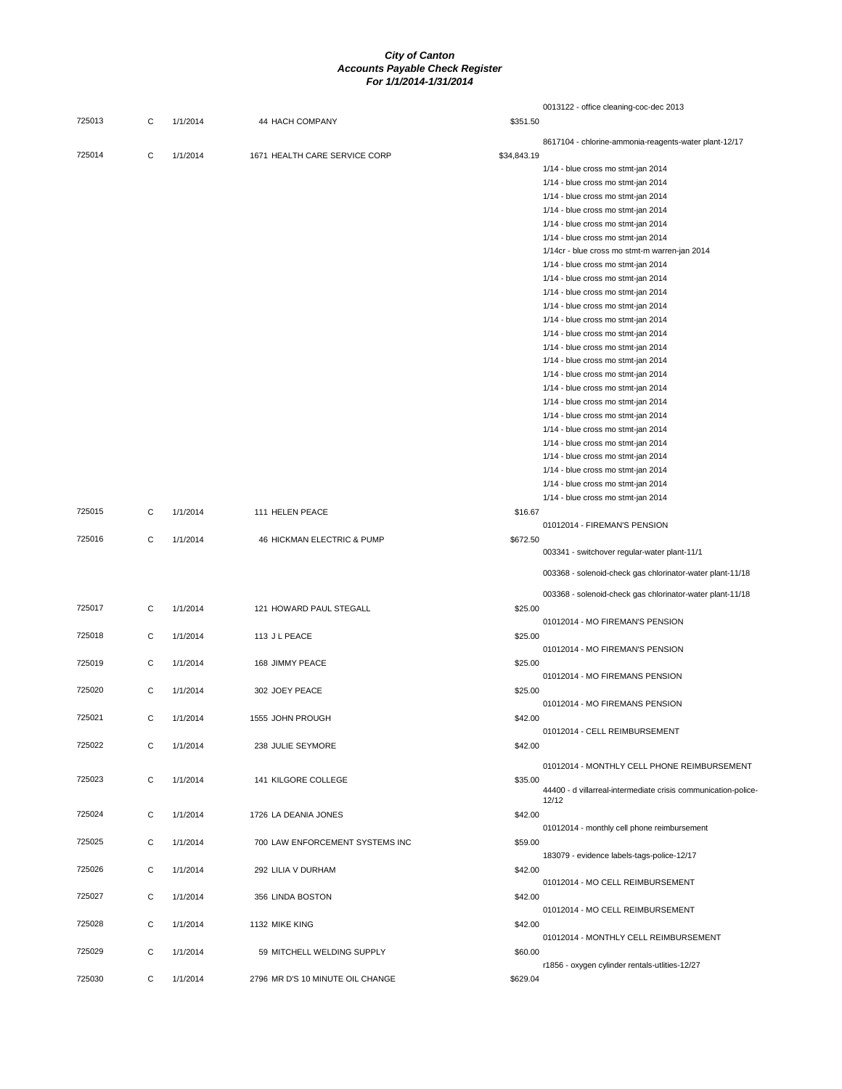|        |             |          |                                  | 0013122 - office cleaning-coc-dec 2013                        |
|--------|-------------|----------|----------------------------------|---------------------------------------------------------------|
| 725013 | С           | 1/1/2014 | 44 HACH COMPANY                  | \$351.50                                                      |
|        |             |          |                                  | 8617104 - chlorine-ammonia-reagents-water plant-12/17         |
| 725014 | C           | 1/1/2014 | 1671 HEALTH CARE SERVICE CORP    | \$34,843.19                                                   |
|        |             |          |                                  | 1/14 - blue cross mo stmt-jan 2014                            |
|        |             |          |                                  | 1/14 - blue cross mo stmt-jan 2014                            |
|        |             |          |                                  | 1/14 - blue cross mo stmt-jan 2014                            |
|        |             |          |                                  | 1/14 - blue cross mo stmt-jan 2014                            |
|        |             |          |                                  | 1/14 - blue cross mo stmt-jan 2014                            |
|        |             |          |                                  | 1/14 - blue cross mo stmt-jan 2014                            |
|        |             |          |                                  | 1/14cr - blue cross mo stmt-m warren-jan 2014                 |
|        |             |          |                                  | 1/14 - blue cross mo stmt-jan 2014                            |
|        |             |          |                                  | 1/14 - blue cross mo stmt-jan 2014                            |
|        |             |          |                                  | 1/14 - blue cross mo stmt-jan 2014                            |
|        |             |          |                                  | 1/14 - blue cross mo stmt-jan 2014                            |
|        |             |          |                                  | 1/14 - blue cross mo stmt-jan 2014                            |
|        |             |          |                                  | 1/14 - blue cross mo stmt-jan 2014                            |
|        |             |          |                                  | 1/14 - blue cross mo stmt-jan 2014                            |
|        |             |          |                                  |                                                               |
|        |             |          |                                  | 1/14 - blue cross mo stmt-jan 2014                            |
|        |             |          |                                  | 1/14 - blue cross mo stmt-jan 2014                            |
|        |             |          |                                  | 1/14 - blue cross mo stmt-jan 2014                            |
|        |             |          |                                  | 1/14 - blue cross mo stmt-jan 2014                            |
|        |             |          |                                  | 1/14 - blue cross mo stmt-jan 2014                            |
|        |             |          |                                  | 1/14 - blue cross mo stmt-jan 2014                            |
|        |             |          |                                  | 1/14 - blue cross mo stmt-jan 2014                            |
|        |             |          |                                  | 1/14 - blue cross mo stmt-jan 2014                            |
|        |             |          |                                  | 1/14 - blue cross mo stmt-jan 2014                            |
|        |             |          |                                  | 1/14 - blue cross mo stmt-jan 2014                            |
|        |             |          |                                  | 1/14 - blue cross mo stmt-jan 2014                            |
| 725015 | C           | 1/1/2014 | 111 HELEN PEACE                  | \$16.67                                                       |
|        |             |          |                                  | 01012014 - FIREMAN'S PENSION                                  |
| 725016 | C           | 1/1/2014 | 46 HICKMAN ELECTRIC & PUMP       | \$672.50                                                      |
|        |             |          |                                  | 003341 - switchover regular-water plant-11/1                  |
|        |             |          |                                  | 003368 - solenoid-check gas chlorinator-water plant-11/18     |
|        |             |          |                                  |                                                               |
|        |             |          |                                  | 003368 - solenoid-check gas chlorinator-water plant-11/18     |
| 725017 | C           | 1/1/2014 | 121 HOWARD PAUL STEGALL          | \$25.00                                                       |
|        |             |          |                                  | 01012014 - MO FIREMAN'S PENSION                               |
| 725018 | C           | 1/1/2014 | 113 J L PEACE                    | \$25.00                                                       |
|        |             |          |                                  | 01012014 - MO FIREMAN'S PENSION                               |
| 725019 | C           | 1/1/2014 | 168 JIMMY PEACE                  | \$25.00                                                       |
|        |             |          |                                  | 01012014 - MO FIREMANS PENSION                                |
| 725020 | C           | 1/1/2014 | 302 JOEY PEACE                   | \$25.00                                                       |
|        |             |          |                                  | 01012014 - MO FIREMANS PENSION                                |
| 725021 | $\mathbf C$ | 1/1/2014 | 1555 JOHN PROUGH                 | \$42.00                                                       |
|        |             |          |                                  | 01012014 - CELL REIMBURSEMENT                                 |
| 725022 | C           | 1/1/2014 | 238 JULIE SEYMORE                | \$42.00                                                       |
|        |             |          |                                  |                                                               |
|        |             |          |                                  | 01012014 - MONTHLY CELL PHONE REIMBURSEMENT                   |
| 725023 | C           | 1/1/2014 | 141 KILGORE COLLEGE              | \$35.00                                                       |
|        |             |          |                                  | 44400 - d villarreal-intermediate crisis communication-police |
|        |             |          |                                  | 12/12                                                         |
| 725024 | С           | 1/1/2014 | 1726 LA DEANIA JONES             | \$42.00                                                       |
|        |             |          |                                  | 01012014 - monthly cell phone reimbursement                   |
| 725025 | C           | 1/1/2014 | 700 LAW ENFORCEMENT SYSTEMS INC  | \$59.00                                                       |
|        |             |          |                                  | 183079 - evidence labels-tags-police-12/17                    |
| 725026 | С           | 1/1/2014 | 292 LILIA V DURHAM               | \$42.00                                                       |
|        |             |          |                                  | 01012014 - MO CELL REIMBURSEMENT                              |
| 725027 | C           | 1/1/2014 | 356 LINDA BOSTON                 | \$42.00                                                       |
|        |             |          |                                  | 01012014 - MO CELL REIMBURSEMENT                              |
| 725028 | C           | 1/1/2014 | 1132 MIKE KING                   | \$42.00                                                       |
|        |             |          |                                  | 01012014 - MONTHLY CELL REIMBURSEMENT                         |
| 725029 | C           | 1/1/2014 | 59 MITCHELL WELDING SUPPLY       | \$60.00                                                       |
|        |             |          |                                  | r1856 - oxygen cylinder rentals-utlities-12/27                |
| 725030 | С           | 1/1/2014 | 2796 MR D'S 10 MINUTE OIL CHANGE | \$629.04                                                      |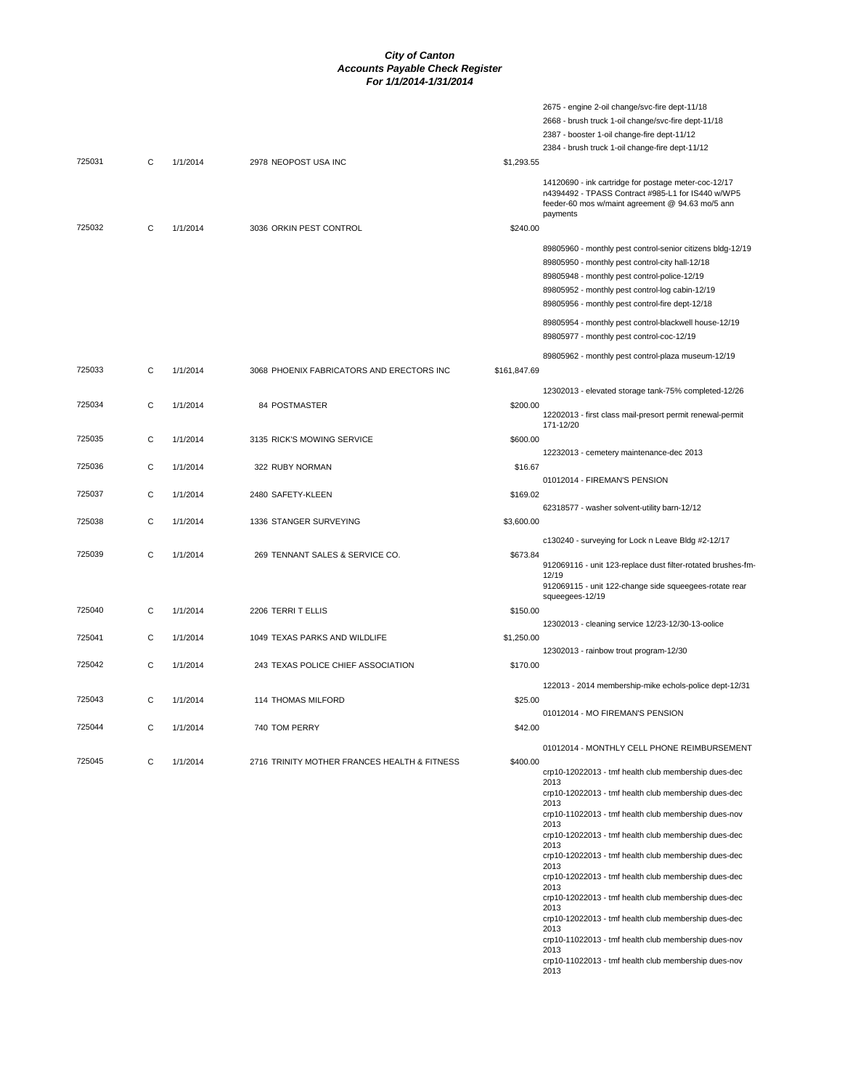|        |   |          |                                              |              | 2675 - engine 2-oil change/svc-fire dept-11/18                                                                                                                                                                                                                      |
|--------|---|----------|----------------------------------------------|--------------|---------------------------------------------------------------------------------------------------------------------------------------------------------------------------------------------------------------------------------------------------------------------|
|        |   |          |                                              |              | 2668 - brush truck 1-oil change/svc-fire dept-11/18                                                                                                                                                                                                                 |
|        |   |          |                                              |              | 2387 - booster 1-oil change-fire dept-11/12                                                                                                                                                                                                                         |
|        |   |          |                                              |              | 2384 - brush truck 1-oil change-fire dept-11/12                                                                                                                                                                                                                     |
| 725031 | С | 1/1/2014 | 2978 NEOPOST USA INC                         | \$1,293.55   |                                                                                                                                                                                                                                                                     |
|        |   |          |                                              |              | 14120690 - ink cartridge for postage meter-coc-12/17<br>n4394492 - TPASS Contract #985-L1 for IS440 w/WP5<br>feeder-60 mos w/maint agreement @ 94.63 mo/5 ann<br>payments                                                                                           |
| 725032 | С | 1/1/2014 | 3036 ORKIN PEST CONTROL                      | \$240.00     |                                                                                                                                                                                                                                                                     |
|        |   |          |                                              |              | 89805960 - monthly pest control-senior citizens bldg-12/19<br>89805950 - monthly pest control-city hall-12/18<br>89805948 - monthly pest control-police-12/19<br>89805952 - monthly pest control-log cabin-12/19<br>89805956 - monthly pest control-fire dept-12/18 |
|        |   |          |                                              |              | 89805954 - monthly pest control-blackwell house-12/19<br>89805977 - monthly pest control-coc-12/19                                                                                                                                                                  |
|        |   |          |                                              |              | 89805962 - monthly pest control-plaza museum-12/19                                                                                                                                                                                                                  |
| 725033 | C | 1/1/2014 | 3068 PHOENIX FABRICATORS AND ERECTORS INC    | \$161,847.69 |                                                                                                                                                                                                                                                                     |
|        |   |          |                                              |              |                                                                                                                                                                                                                                                                     |
|        |   |          |                                              |              | 12302013 - elevated storage tank-75% completed-12/26                                                                                                                                                                                                                |
| 725034 | C | 1/1/2014 | 84 POSTMASTER                                | \$200.00     | 12202013 - first class mail-presort permit renewal-permit<br>171-12/20                                                                                                                                                                                              |
|        |   |          |                                              |              |                                                                                                                                                                                                                                                                     |
| 725035 | C | 1/1/2014 | 3135 RICK'S MOWING SERVICE                   | \$600.00     |                                                                                                                                                                                                                                                                     |
|        |   |          |                                              |              | 12232013 - cemetery maintenance-dec 2013                                                                                                                                                                                                                            |
| 725036 | С | 1/1/2014 | 322 RUBY NORMAN                              | \$16.67      |                                                                                                                                                                                                                                                                     |
|        |   |          |                                              |              | 01012014 - FIREMAN'S PENSION                                                                                                                                                                                                                                        |
| 725037 | C | 1/1/2014 | 2480 SAFETY-KLEEN                            | \$169.02     |                                                                                                                                                                                                                                                                     |
|        |   |          |                                              |              | 62318577 - washer solvent-utility barn-12/12                                                                                                                                                                                                                        |
| 725038 | C | 1/1/2014 | 1336 STANGER SURVEYING                       | \$3,600.00   |                                                                                                                                                                                                                                                                     |
|        |   |          |                                              |              |                                                                                                                                                                                                                                                                     |
|        |   |          |                                              |              | c130240 - surveying for Lock n Leave Bldg #2-12/17                                                                                                                                                                                                                  |
| 725039 | C | 1/1/2014 | 269 TENNANT SALES & SERVICE CO.              | \$673.84     | 912069116 - unit 123-replace dust filter-rotated brushes-fm-<br>12/19<br>912069115 - unit 122-change side squeegees-rotate rear                                                                                                                                     |
|        |   |          |                                              |              | squeegees-12/19                                                                                                                                                                                                                                                     |
| 725040 | C | 1/1/2014 | 2206 TERRIT ELLIS                            | \$150.00     |                                                                                                                                                                                                                                                                     |
|        |   |          |                                              |              | 12302013 - cleaning service 12/23-12/30-13-oolice                                                                                                                                                                                                                   |
| 725041 | С | 1/1/2014 | 1049 TEXAS PARKS AND WILDLIFE                | \$1,250.00   |                                                                                                                                                                                                                                                                     |
|        |   |          |                                              |              | 12302013 - rainbow trout program-12/30                                                                                                                                                                                                                              |
| 725042 | C | 1/1/2014 | 243 TEXAS POLICE CHIEF ASSOCIATION           | \$170.00     |                                                                                                                                                                                                                                                                     |
|        |   |          |                                              |              |                                                                                                                                                                                                                                                                     |
|        |   |          |                                              |              | 122013 - 2014 membership-mike echols-police dept-12/31                                                                                                                                                                                                              |
| 725043 | C | 1/1/2014 | 114 THOMAS MILFORD                           | \$25.00      |                                                                                                                                                                                                                                                                     |
|        |   |          |                                              |              | 01012014 - MO FIREMAN'S PENSION                                                                                                                                                                                                                                     |
| 725044 | С | 1/1/2014 | 740 TOM PERRY                                | \$42.00      |                                                                                                                                                                                                                                                                     |
|        |   |          |                                              |              | 01012014 - MONTHLY CELL PHONE REIMBURSEMENT                                                                                                                                                                                                                         |
|        |   |          |                                              |              |                                                                                                                                                                                                                                                                     |
| 725045 | С | 1/1/2014 | 2716 TRINITY MOTHER FRANCES HEALTH & FITNESS | \$400.00     | crp10-12022013 - tmf health club membership dues-dec<br>2013                                                                                                                                                                                                        |
|        |   |          |                                              |              | crp10-12022013 - tmf health club membership dues-dec                                                                                                                                                                                                                |
|        |   |          |                                              |              | 2013                                                                                                                                                                                                                                                                |
|        |   |          |                                              |              | crp10-11022013 - tmf health club membership dues-nov<br>2013                                                                                                                                                                                                        |
|        |   |          |                                              |              | crp10-12022013 - tmf health club membership dues-dec<br>2013                                                                                                                                                                                                        |
|        |   |          |                                              |              | crp10-12022013 - tmf health club membership dues-dec                                                                                                                                                                                                                |
|        |   |          |                                              |              | 2013                                                                                                                                                                                                                                                                |
|        |   |          |                                              |              | crp10-12022013 - tmf health club membership dues-dec                                                                                                                                                                                                                |
|        |   |          |                                              |              | 2013<br>crp10-12022013 - tmf health club membership dues-dec                                                                                                                                                                                                        |
|        |   |          |                                              |              | 2013                                                                                                                                                                                                                                                                |
|        |   |          |                                              |              | crp10-12022013 - tmf health club membership dues-dec                                                                                                                                                                                                                |
|        |   |          |                                              |              | 2013                                                                                                                                                                                                                                                                |
|        |   |          |                                              |              | crp10-11022013 - tmf health club membership dues-nov                                                                                                                                                                                                                |

crp10-11022013 - tmf health club membership dues-nov 2013 crp10-11022013 - tmf health club membership dues-nov 2013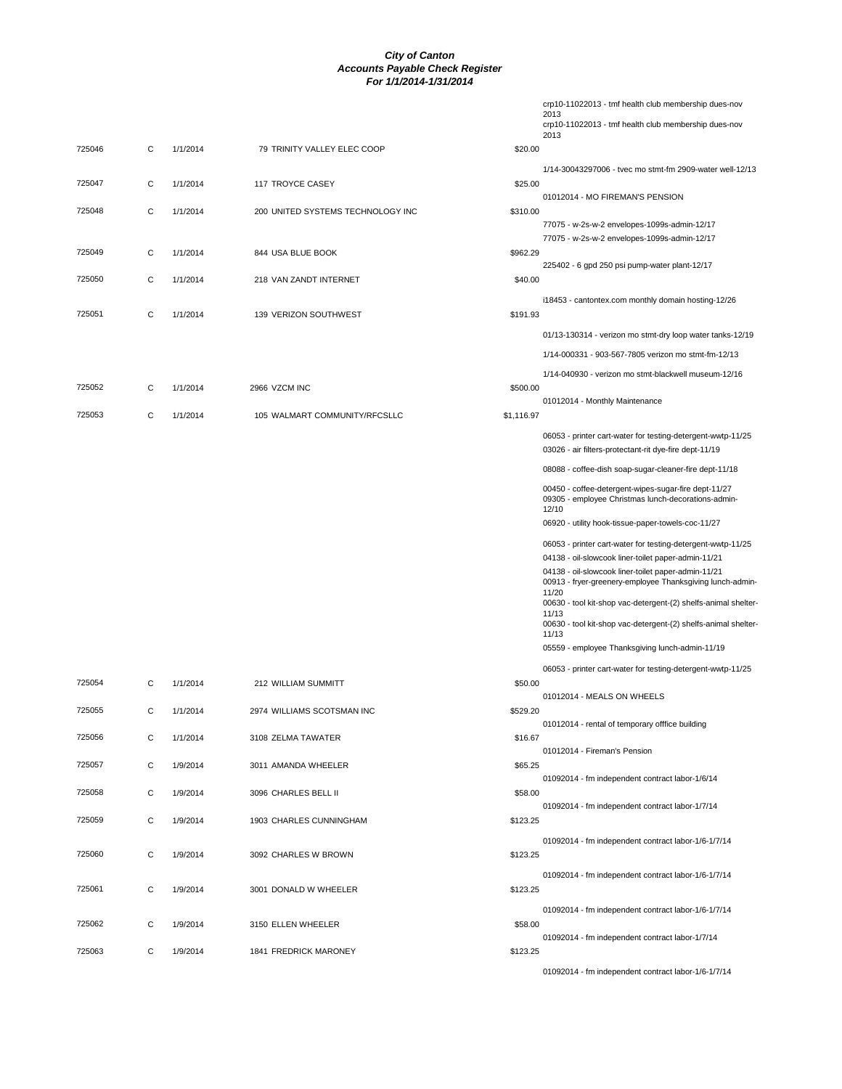|        |   |          |                                   |            | crp10-11022013 - tmf health club membership dues-nov<br>2013                                                |
|--------|---|----------|-----------------------------------|------------|-------------------------------------------------------------------------------------------------------------|
|        |   |          |                                   |            | crp10-11022013 - tmf health club membership dues-nov                                                        |
| 725046 | C | 1/1/2014 | 79 TRINITY VALLEY ELEC COOP       | \$20.00    | 2013                                                                                                        |
|        |   |          |                                   |            | 1/14-30043297006 - tvec mo stmt-fm 2909-water well-12/13                                                    |
| 725047 | С | 1/1/2014 | 117 TROYCE CASEY                  | \$25.00    |                                                                                                             |
|        |   |          |                                   |            | 01012014 - MO FIREMAN'S PENSION                                                                             |
| 725048 | С | 1/1/2014 | 200 UNITED SYSTEMS TECHNOLOGY INC | \$310.00   | 77075 - w-2s-w-2 envelopes-1099s-admin-12/17                                                                |
|        |   |          |                                   |            | 77075 - w-2s-w-2 envelopes-1099s-admin-12/17                                                                |
| 725049 | C | 1/1/2014 | 844 USA BLUE BOOK                 | \$962.29   |                                                                                                             |
| 725050 | С | 1/1/2014 | 218 VAN ZANDT INTERNET            | \$40.00    | 225402 - 6 gpd 250 psi pump-water plant-12/17                                                               |
|        |   |          |                                   |            | i18453 - cantontex.com monthly domain hosting-12/26                                                         |
| 725051 | C | 1/1/2014 | 139 VERIZON SOUTHWEST             | \$191.93   |                                                                                                             |
|        |   |          |                                   |            | 01/13-130314 - verizon mo stmt-dry loop water tanks-12/19                                                   |
|        |   |          |                                   |            | 1/14-000331 - 903-567-7805 verizon mo stmt-fm-12/13                                                         |
|        |   |          |                                   |            | 1/14-040930 - verizon mo stmt-blackwell museum-12/16                                                        |
| 725052 | С | 1/1/2014 | 2966 VZCM INC                     | \$500.00   |                                                                                                             |
|        |   |          |                                   |            | 01012014 - Monthly Maintenance                                                                              |
| 725053 | C | 1/1/2014 | 105 WALMART COMMUNITY/RFCSLLC     | \$1,116.97 |                                                                                                             |
|        |   |          |                                   |            | 06053 - printer cart-water for testing-detergent-wwtp-11/25                                                 |
|        |   |          |                                   |            | 03026 - air filters-protectant-rit dye-fire dept-11/19                                                      |
|        |   |          |                                   |            | 08088 - coffee-dish soap-sugar-cleaner-fire dept-11/18                                                      |
|        |   |          |                                   |            | 00450 - coffee-detergent-wipes-sugar-fire dept-11/27<br>09305 - employee Christmas lunch-decorations-admin- |
|        |   |          |                                   |            | 12/10                                                                                                       |
|        |   |          |                                   |            | 06920 - utility hook-tissue-paper-towels-coc-11/27                                                          |
|        |   |          |                                   |            | 06053 - printer cart-water for testing-detergent-wwtp-11/25                                                 |
|        |   |          |                                   |            | 04138 - oil-slowcook liner-toilet paper-admin-11/21<br>04138 - oil-slowcook liner-toilet paper-admin-11/21  |
|        |   |          |                                   |            | 00913 - fryer-greenery-employee Thanksgiving lunch-admin-<br>11/20                                          |
|        |   |          |                                   |            | 00630 - tool kit-shop vac-detergent-(2) shelfs-animal shelter-<br>11/13                                     |
|        |   |          |                                   |            | 00630 - tool kit-shop vac-detergent-(2) shelfs-animal shelter-                                              |
|        |   |          |                                   |            | 11/13<br>05559 - employee Thanksgiving lunch-admin-11/19                                                    |
|        |   |          |                                   |            |                                                                                                             |
| 725054 | С | 1/1/2014 | 212 WILLIAM SUMMITT               | \$50.00    | 06053 - printer cart-water for testing-detergent-wwtp-11/25                                                 |
|        |   |          |                                   |            | 01012014 - MEALS ON WHEELS                                                                                  |
| 725055 | C | 1/1/2014 | 2974 WILLIAMS SCOTSMAN INC        | \$529.20   |                                                                                                             |
| 725056 | C | 1/1/2014 | 3108 ZELMA TAWATER                | \$16.67    | 01012014 - rental of temporary offfice building                                                             |
|        |   |          |                                   |            | 01012014 - Fireman's Pension                                                                                |
| 725057 | С | 1/9/2014 | 3011 AMANDA WHEELER               | \$65.25    |                                                                                                             |
| 725058 | C | 1/9/2014 | 3096 CHARLES BELL II              | \$58.00    | 01092014 - fm independent contract labor-1/6/14                                                             |
|        |   |          |                                   |            | 01092014 - fm independent contract labor-1/7/14                                                             |
| 725059 | С | 1/9/2014 | 1903 CHARLES CUNNINGHAM           | \$123.25   |                                                                                                             |
|        |   |          |                                   |            | 01092014 - fm independent contract labor-1/6-1/7/14                                                         |
| 725060 | C | 1/9/2014 | 3092 CHARLES W BROWN              | \$123.25   |                                                                                                             |
|        |   |          |                                   |            | 01092014 - fm independent contract labor-1/6-1/7/14                                                         |
| 725061 | C | 1/9/2014 | 3001 DONALD W WHEELER             | \$123.25   |                                                                                                             |
| 725062 | C |          |                                   |            | 01092014 - fm independent contract labor-1/6-1/7/14                                                         |
|        |   | 1/9/2014 | 3150 ELLEN WHEELER                | \$58.00    | 01092014 - fm independent contract labor-1/7/14                                                             |
| 725063 | С | 1/9/2014 | 1841 FREDRICK MARONEY             | \$123.25   |                                                                                                             |
|        |   |          |                                   |            |                                                                                                             |

01092014 - fm independent contract labor-1/6-1/7/14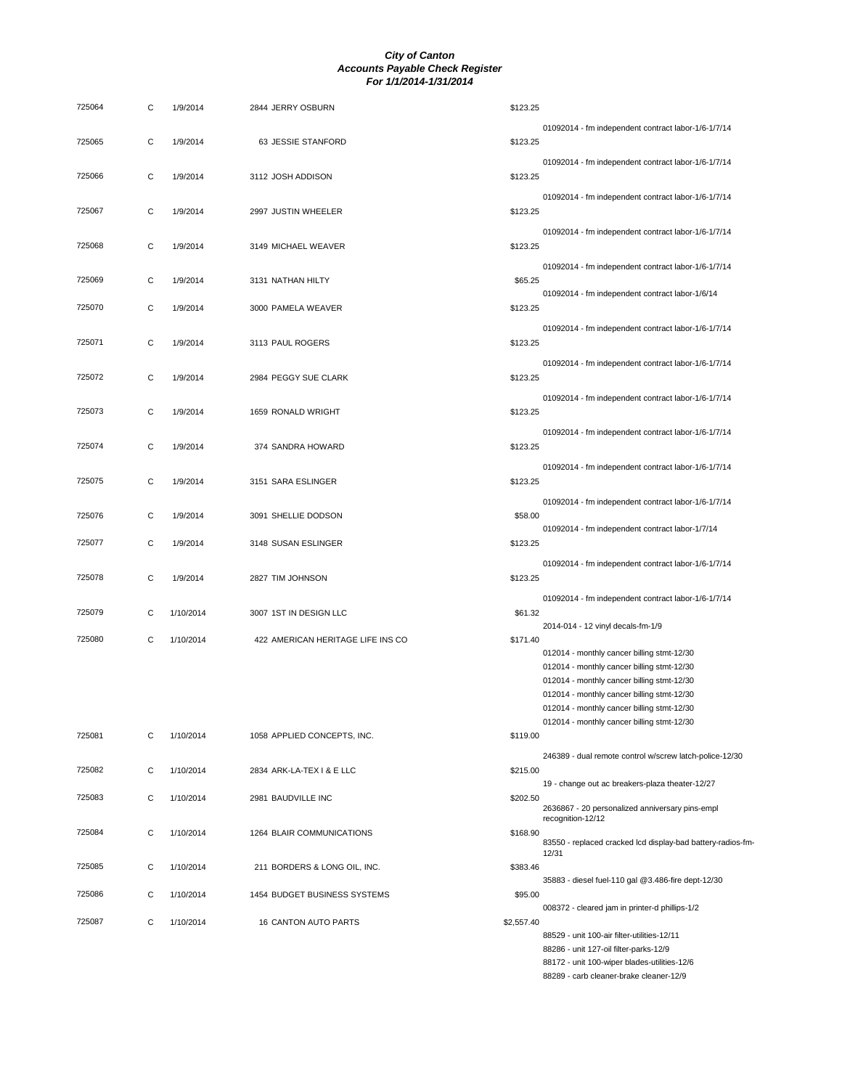| 725064 | C            | 1/9/2014  | 2844 JERRY OSBURN                 | \$123.25                                                                                                       |
|--------|--------------|-----------|-----------------------------------|----------------------------------------------------------------------------------------------------------------|
| 725065 | C            | 1/9/2014  | 63 JESSIE STANFORD                | 01092014 - fm independent contract labor-1/6-1/7/14<br>\$123.25                                                |
| 725066 | C            | 1/9/2014  | 3112 JOSH ADDISON                 | 01092014 - fm independent contract labor-1/6-1/7/14<br>\$123.25                                                |
|        |              |           |                                   | 01092014 - fm independent contract labor-1/6-1/7/14                                                            |
| 725067 | C            | 1/9/2014  | 2997 JUSTIN WHEELER               | \$123.25<br>01092014 - fm independent contract labor-1/6-1/7/14                                                |
| 725068 | C            | 1/9/2014  | 3149 MICHAEL WEAVER               | \$123.25<br>01092014 - fm independent contract labor-1/6-1/7/14                                                |
| 725069 | C            | 1/9/2014  | 3131 NATHAN HILTY                 | \$65.25<br>01092014 - fm independent contract labor-1/6/14                                                     |
| 725070 | C            | 1/9/2014  | 3000 PAMELA WEAVER                | \$123.25<br>01092014 - fm independent contract labor-1/6-1/7/14                                                |
| 725071 | C            | 1/9/2014  | 3113 PAUL ROGERS                  | \$123.25                                                                                                       |
| 725072 | C            | 1/9/2014  | 2984 PEGGY SUE CLARK              | 01092014 - fm independent contract labor-1/6-1/7/14<br>\$123.25                                                |
| 725073 | C            | 1/9/2014  | 1659 RONALD WRIGHT                | 01092014 - fm independent contract labor-1/6-1/7/14<br>\$123.25                                                |
| 725074 | C            | 1/9/2014  | 374 SANDRA HOWARD                 | 01092014 - fm independent contract labor-1/6-1/7/14<br>\$123.25                                                |
|        |              |           |                                   | 01092014 - fm independent contract labor-1/6-1/7/14                                                            |
| 725075 | C            | 1/9/2014  | 3151 SARA ESLINGER                | \$123.25<br>01092014 - fm independent contract labor-1/6-1/7/14                                                |
| 725076 | С            | 1/9/2014  | 3091 SHELLIE DODSON               | \$58.00<br>01092014 - fm independent contract labor-1/7/14                                                     |
| 725077 | C            | 1/9/2014  | 3148 SUSAN ESLINGER               | \$123.25<br>01092014 - fm independent contract labor-1/6-1/7/14                                                |
| 725078 | C            | 1/9/2014  | 2827 TIM JOHNSON                  | \$123.25                                                                                                       |
| 725079 | С            | 1/10/2014 | 3007 1ST IN DESIGN LLC            | 01092014 - fm independent contract labor-1/6-1/7/14<br>\$61.32<br>2014-014 - 12 vinyl decals-fm-1/9            |
| 725080 | C            | 1/10/2014 | 422 AMERICAN HERITAGE LIFE INS CO | \$171.40<br>012014 - monthly cancer billing stmt-12/30                                                         |
|        |              |           |                                   | 012014 - monthly cancer billing stmt-12/30                                                                     |
|        |              |           |                                   | 012014 - monthly cancer billing stmt-12/30                                                                     |
|        |              |           |                                   | 012014 - monthly cancer billing stmt-12/30                                                                     |
|        |              |           |                                   | 012014 - monthly cancer billing stmt-12/30                                                                     |
| 725081 |              |           |                                   | 012014 - monthly cancer billing stmt-12/30                                                                     |
|        | С            | 1/10/2014 | 1058 APPLIED CONCEPTS, INC.       | \$119.00                                                                                                       |
| 725082 | C            | 1/10/2014 | 2834 ARK-LA-TEX I & E LLC         | 246389 - dual remote control w/screw latch-police-12/30<br>\$215.00                                            |
| 725083 | $\mathsf{C}$ | 1/10/2014 | 2981 BAUDVILLE INC                | 19 - change out ac breakers-plaza theater-12/27<br>\$202.50<br>2636867 - 20 personalized anniversary pins-empl |
| 725084 | C            | 1/10/2014 | 1264 BLAIR COMMUNICATIONS         | recognition-12/12<br>\$168.90                                                                                  |
| 725085 | C            | 1/10/2014 | 211 BORDERS & LONG OIL, INC.      | 83550 - replaced cracked lcd display-bad battery-radios-fm<br>12/31<br>\$383.46                                |
| 725086 | С            | 1/10/2014 | 1454 BUDGET BUSINESS SYSTEMS      | 35883 - diesel fuel-110 gal @3.486-fire dept-12/30<br>\$95.00                                                  |
|        |              |           |                                   | 008372 - cleared jam in printer-d phillips-1/2                                                                 |
| 725087 | C            | 1/10/2014 | 16 CANTON AUTO PARTS              | \$2,557.40                                                                                                     |
|        |              |           |                                   | 88529 - unit 100-air filter-utilities-12/11                                                                    |
|        |              |           |                                   | 88286 - unit 127-oil filter-parks-12/9                                                                         |
|        |              |           |                                   | 88172 - unit 100-wiper blades-utilities-12/6                                                                   |
|        |              |           |                                   | 88289 - carb cleaner-brake cleaner-12/9                                                                        |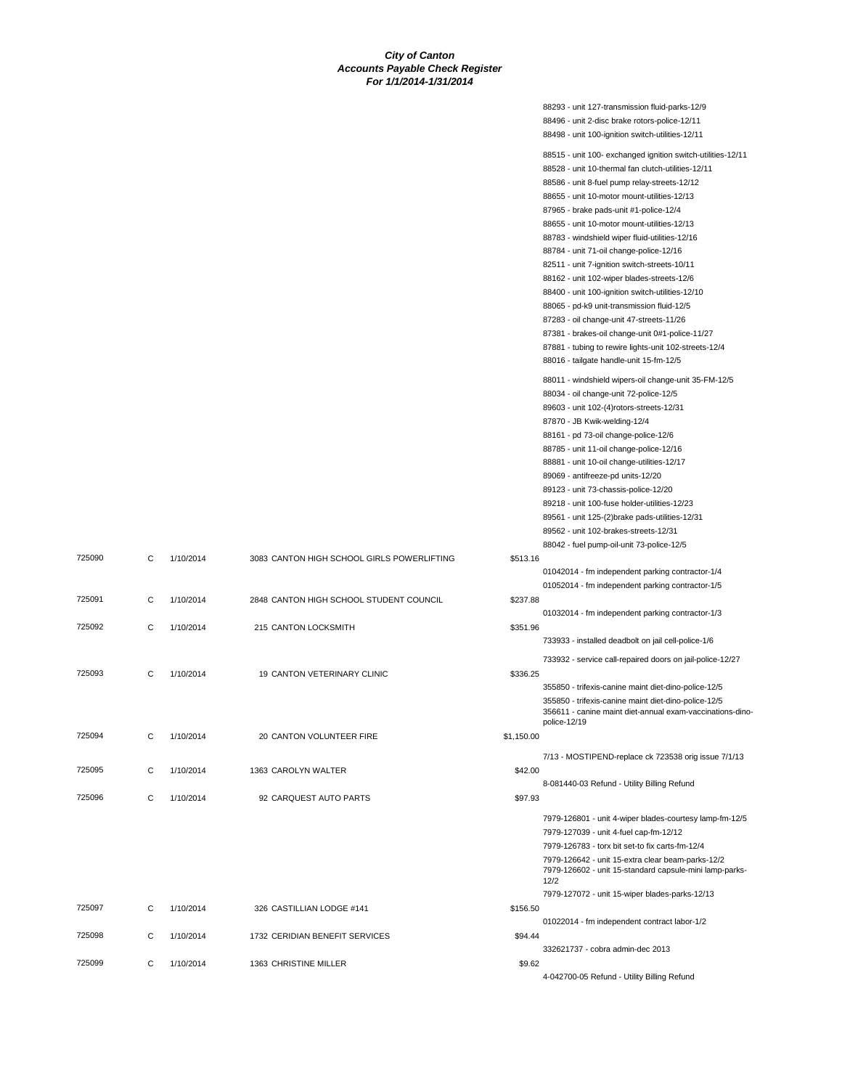|                              | 88293 - unit 127-transmission fluid-parks-12/9                                                                       |
|------------------------------|----------------------------------------------------------------------------------------------------------------------|
|                              | 88496 - unit 2-disc brake rotors-police-12/11                                                                        |
|                              | 88498 - unit 100-ignition switch-utilities-12/11                                                                     |
|                              | 88515 - unit 100- exchanged ignition switch-utilities-12/11                                                          |
|                              | 88528 - unit 10-thermal fan clutch-utilities-12/11                                                                   |
|                              | 88586 - unit 8-fuel pump relay-streets-12/12                                                                         |
|                              | 88655 - unit 10-motor mount-utilities-12/13                                                                          |
|                              | 87965 - brake pads-unit #1-police-12/4                                                                               |
|                              | 88655 - unit 10-motor mount-utilities-12/13                                                                          |
|                              | 88783 - windshield wiper fluid-utilities-12/16                                                                       |
|                              | 88784 - unit 71-oil change-police-12/16                                                                              |
|                              | 82511 - unit 7-ignition switch-streets-10/11                                                                         |
|                              | 88162 - unit 102-wiper blades-streets-12/6                                                                           |
|                              | 88400 - unit 100-ignition switch-utilities-12/10                                                                     |
|                              | 88065 - pd-k9 unit-transmission fluid-12/5                                                                           |
|                              | 87283 - oil change-unit 47-streets-11/26                                                                             |
|                              | 87381 - brakes-oil change-unit 0#1-police-11/27                                                                      |
|                              | 87881 - tubing to rewire lights-unit 102-streets-12/4                                                                |
|                              | 88016 - tailgate handle-unit 15-fm-12/5                                                                              |
|                              | 88011 - windshield wipers-oil change-unit 35-FM-12/5                                                                 |
|                              | 88034 - oil change-unit 72-police-12/5                                                                               |
|                              | 89603 - unit 102-(4)rotors-streets-12/31                                                                             |
|                              | 87870 - JB Kwik-welding-12/4                                                                                         |
|                              | 88161 - pd 73-oil change-police-12/6                                                                                 |
|                              | 88785 - unit 11-oil change-police-12/16                                                                              |
|                              | 88881 - unit 10-oil change-utilities-12/17                                                                           |
|                              | 89069 - antifreeze-pd units-12/20                                                                                    |
|                              | 89123 - unit 73-chassis-police-12/20                                                                                 |
|                              | 89218 - unit 100-fuse holder-utilities-12/23                                                                         |
|                              | 89561 - unit 125-(2) brake pads-utilities-12/31                                                                      |
|                              | 89562 - unit 102-brakes-streets-12/31                                                                                |
|                              | 88042 - fuel pump-oil-unit 73-police-12/5                                                                            |
| RLS POWERLIFTING<br>\$513.16 |                                                                                                                      |
|                              | 01042014 - fm independent parking contractor-1/4                                                                     |
|                              | 01052014 - fm independent parking contractor-1/5                                                                     |
| UDENT COUNCIL<br>\$237.88    |                                                                                                                      |
|                              | 01032014 - fm independent parking contractor-1/3                                                                     |
| \$351.96                     |                                                                                                                      |
|                              | 733933 - installed deadbolt on jail cell-police-1/6                                                                  |
|                              | 733932 - service call-repaired doors on jail-police-12/27                                                            |
| \$336.25<br>JIC              |                                                                                                                      |
|                              | 355850 - trifexis-canine maint diet-dino-police-12/5                                                                 |
|                              | 355850 - trifexis-canine maint diet-dino-police-12/5                                                                 |
|                              | 356611 - canine maint diet-annual exam-vaccinations-dino-                                                            |
|                              | police-12/19                                                                                                         |
| \$1,150.00                   |                                                                                                                      |
|                              | 7/13 - MOSTIPEND-replace ck 723538 orig issue 7/1/13                                                                 |
| \$42.00                      |                                                                                                                      |
|                              | 8-081440-03 Refund - Utility Billing Refund                                                                          |
| \$97.93                      |                                                                                                                      |
|                              |                                                                                                                      |
|                              | 7979-126801 - unit 4-wiper blades-courtesy lamp-fm-12/5                                                              |
|                              | 7979-127039 - unit 4-fuel cap-fm-12/12                                                                               |
|                              | 7979-126783 - torx bit set-to fix carts-fm-12/4                                                                      |
|                              | 7979-126642 - unit 15-extra clear beam-parks-12/2<br>7979-126602 - unit 15-standard capsule-mini lamp-parks-<br>12/2 |
|                              | 7979-127072 - unit 15-wiper blades-parks-12/13                                                                       |
| \$156.50                     |                                                                                                                      |
|                              | 01022014 - fm independent contract labor-1/2                                                                         |
| ΈS<br>\$94.44                |                                                                                                                      |
|                              | 332621737 - cobra admin-dec 2013                                                                                     |
| \$9.62                       |                                                                                                                      |
|                              | 4-042700-05 Refund - Utility Billing Refund                                                                          |

| 725090 | C            | 1/10/2014 | 3083 CANTON HIGH SCHOOL GIRLS POWERLIFTING | \$513.16   |
|--------|--------------|-----------|--------------------------------------------|------------|
| 725091 | $\mathbf{C}$ | 1/10/2014 | 2848 CANTON HIGH SCHOOL STUDENT COUNCIL    | \$237.88   |
| 725092 | C            | 1/10/2014 | 215 CANTON LOCKSMITH                       | \$351.96   |
| 725093 | $\mathbf{C}$ | 1/10/2014 | 19 CANTON VETERINARY CLINIC                | \$336.25   |
| 725094 | C            | 1/10/2014 | 20 CANTON VOLUNTEER FIRE                   | \$1,150.00 |
| 725095 | $\mathbf{C}$ | 1/10/2014 | 1363 CAROLYN WALTER                        | \$42.00    |
| 725096 | $\mathsf{C}$ | 1/10/2014 | 92 CARQUEST AUTO PARTS                     | \$97.93    |
|        |              |           |                                            |            |
|        |              |           |                                            |            |

| 7979-127072 - unit 15-wiper blades-parks- |
|-------------------------------------------|
|                                           |
| 01022014 - fm independent contract labor  |
|                                           |
| 332621737 - cobra admin-dec 2013          |
|                                           |
|                                           |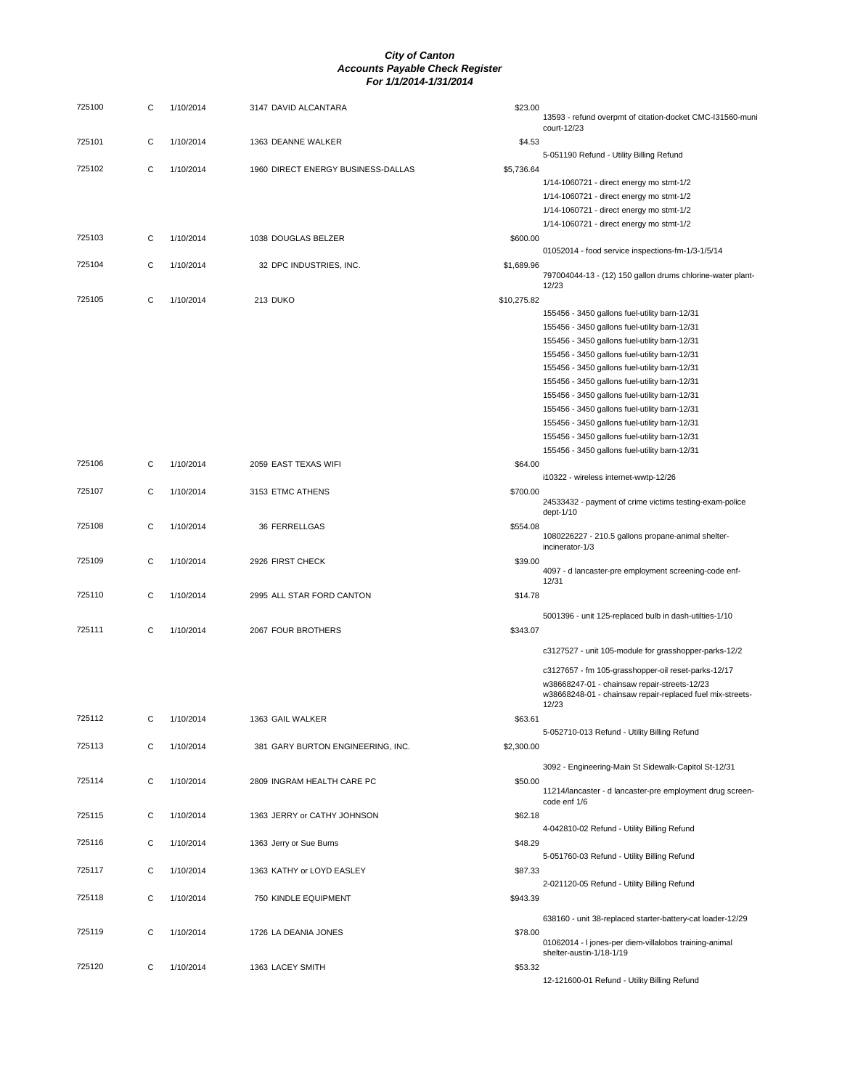| 725100 | С | 1/10/2014 | 3147 DAVID ALCANTARA               | \$23.00     | 13593 - refund overpmt of citation-docket CMC-I31560-muni<br>court-12/23                                  |
|--------|---|-----------|------------------------------------|-------------|-----------------------------------------------------------------------------------------------------------|
| 725101 | С | 1/10/2014 | 1363 DEANNE WALKER                 | \$4.53      | 5-051190 Refund - Utility Billing Refund                                                                  |
| 725102 | С | 1/10/2014 | 1960 DIRECT ENERGY BUSINESS-DALLAS | \$5,736.64  |                                                                                                           |
|        |   |           |                                    |             | 1/14-1060721 - direct energy mo stmt-1/2                                                                  |
|        |   |           |                                    |             | 1/14-1060721 - direct energy mo stmt-1/2                                                                  |
|        |   |           |                                    |             | 1/14-1060721 - direct energy mo stmt-1/2                                                                  |
| 725103 | С | 1/10/2014 | 1038 DOUGLAS BELZER                | \$600.00    | 1/14-1060721 - direct energy mo stmt-1/2                                                                  |
|        |   |           |                                    |             | 01052014 - food service inspections-fm-1/3-1/5/14                                                         |
| 725104 | С | 1/10/2014 | 32 DPC INDUSTRIES, INC.            | \$1,689.96  |                                                                                                           |
|        |   |           |                                    |             | 797004044-13 - (12) 150 gallon drums chlorine-water plant-<br>12/23                                       |
| 725105 | С | 1/10/2014 | 213 DUKO                           | \$10,275.82 |                                                                                                           |
|        |   |           |                                    |             | 155456 - 3450 gallons fuel-utility barn-12/31                                                             |
|        |   |           |                                    |             | 155456 - 3450 gallons fuel-utility barn-12/31                                                             |
|        |   |           |                                    |             | 155456 - 3450 gallons fuel-utility barn-12/31                                                             |
|        |   |           |                                    |             | 155456 - 3450 gallons fuel-utility barn-12/31                                                             |
|        |   |           |                                    |             | 155456 - 3450 gallons fuel-utility barn-12/31                                                             |
|        |   |           |                                    |             | 155456 - 3450 gallons fuel-utility barn-12/31                                                             |
|        |   |           |                                    |             | 155456 - 3450 gallons fuel-utility barn-12/31                                                             |
|        |   |           |                                    |             | 155456 - 3450 gallons fuel-utility barn-12/31                                                             |
|        |   |           |                                    |             | 155456 - 3450 gallons fuel-utility barn-12/31                                                             |
|        |   |           |                                    |             | 155456 - 3450 gallons fuel-utility barn-12/31                                                             |
|        |   |           |                                    |             | 155456 - 3450 gallons fuel-utility barn-12/31                                                             |
| 725106 | С | 1/10/2014 | 2059 EAST TEXAS WIFI               | \$64.00     | i10322 - wireless internet-wwtp-12/26                                                                     |
| 725107 | С | 1/10/2014 | 3153 ETMC ATHENS                   | \$700.00    |                                                                                                           |
|        |   |           |                                    |             | 24533432 - payment of crime victims testing-exam-police                                                   |
|        |   |           |                                    |             | dept-1/10                                                                                                 |
| 725108 | С | 1/10/2014 | 36 FERRELLGAS                      | \$554.08    | 1080226227 - 210.5 gallons propane-animal shelter-                                                        |
|        |   |           |                                    |             | incinerator-1/3                                                                                           |
| 725109 | С | 1/10/2014 | 2926 FIRST CHECK                   | \$39.00     |                                                                                                           |
|        |   |           |                                    |             | 4097 - d lancaster-pre employment screening-code enf-<br>12/31                                            |
| 725110 | С | 1/10/2014 | 2995 ALL STAR FORD CANTON          | \$14.78     |                                                                                                           |
|        |   |           |                                    |             | 5001396 - unit 125-replaced bulb in dash-utilties-1/10                                                    |
| 725111 | С | 1/10/2014 | 2067 FOUR BROTHERS                 | \$343.07    |                                                                                                           |
|        |   |           |                                    |             |                                                                                                           |
|        |   |           |                                    |             | c3127527 - unit 105-module for grasshopper-parks-12/2                                                     |
|        |   |           |                                    |             | c3127657 - fm 105-grasshopper-oil reset-parks-12/17                                                       |
|        |   |           |                                    |             | w38668247-01 - chainsaw repair-streets-12/23<br>w38668248-01 - chainsaw repair-replaced fuel mix-streets- |
|        |   |           |                                    |             | 12/23                                                                                                     |
| 725112 | С | 1/10/2014 | 1363 GAIL WALKER                   | \$63.61     |                                                                                                           |
|        |   |           |                                    |             | 5-052710-013 Refund - Utility Billing Refund                                                              |
| 725113 | С | 1/10/2014 | 381 GARY BURTON ENGINEERING, INC.  | \$2,300.00  |                                                                                                           |
|        |   |           |                                    |             | 3092 - Engineering-Main St Sidewalk-Capitol St-12/31                                                      |
| 725114 | С | 1/10/2014 | 2809 INGRAM HEALTH CARE PC         | \$50.00     |                                                                                                           |
|        |   |           |                                    |             | 11214/lancaster - d lancaster-pre employment drug screen-<br>code enf 1/6                                 |
| 725115 | С | 1/10/2014 | 1363 JERRY or CATHY JOHNSON        | \$62.18     |                                                                                                           |
|        |   |           |                                    |             | 4-042810-02 Refund - Utility Billing Refund                                                               |
| 725116 | С | 1/10/2014 | 1363 Jerry or Sue Burns            | \$48.29     |                                                                                                           |
|        |   |           |                                    |             | 5-051760-03 Refund - Utility Billing Refund                                                               |
| 725117 | С | 1/10/2014 | 1363 KATHY or LOYD EASLEY          | \$87.33     | 2-021120-05 Refund - Utility Billing Refund                                                               |
| 725118 | С | 1/10/2014 | 750 KINDLE EQUIPMENT               | \$943.39    |                                                                                                           |
|        |   |           |                                    |             |                                                                                                           |
|        |   |           |                                    |             | 638160 - unit 38-replaced starter-battery-cat loader-12/29                                                |
| 725119 | С | 1/10/2014 | 1726 LA DEANIA JONES               | \$78.00     | 01062014 - I jones-per diem-villalobos training-animal                                                    |
|        |   |           |                                    |             | shelter-austin-1/18-1/19                                                                                  |
| 725120 | С | 1/10/2014 | 1363 LACEY SMITH                   | \$53.32     |                                                                                                           |
|        |   |           |                                    |             | 12-121600-01 Refund - Utility Billing Refund                                                              |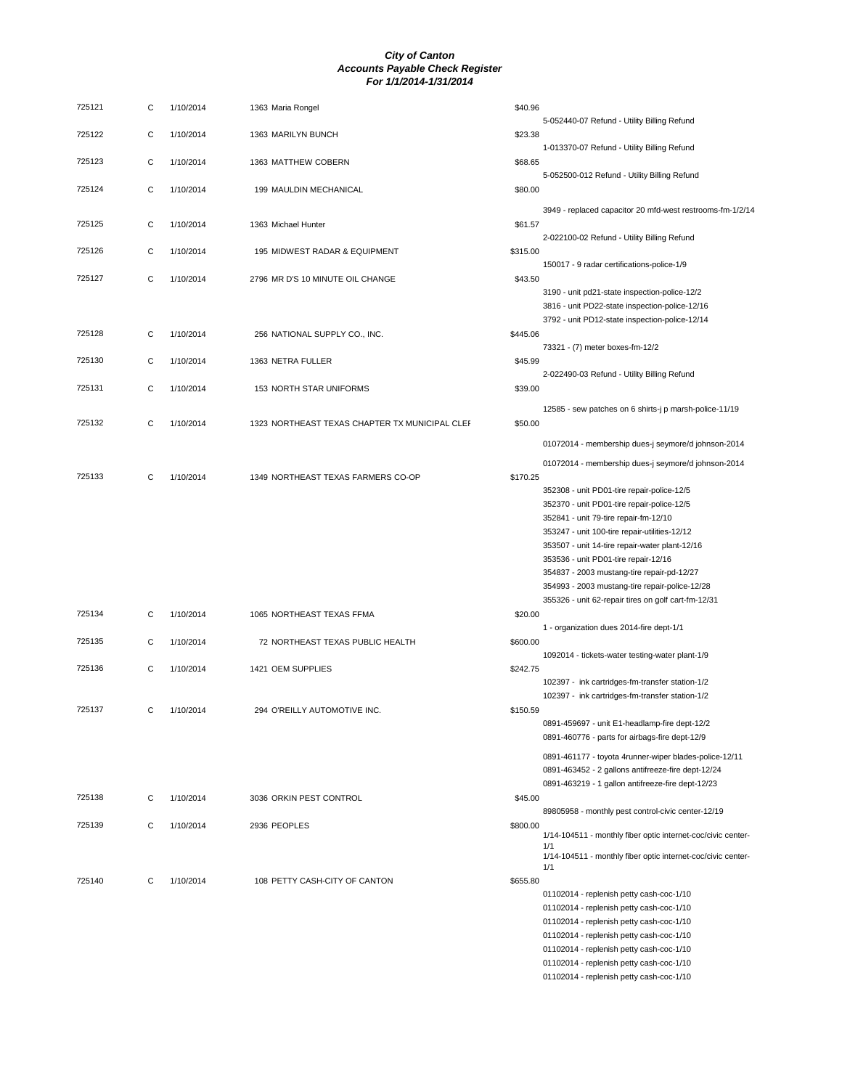| 725121 | С | 1/10/2014 | 1363 Maria Rongel                              | \$40.96  |                                                                                                              |
|--------|---|-----------|------------------------------------------------|----------|--------------------------------------------------------------------------------------------------------------|
| 725122 | С | 1/10/2014 | 1363 MARILYN BUNCH                             | \$23.38  | 5-052440-07 Refund - Utility Billing Refund                                                                  |
| 725123 | С | 1/10/2014 | 1363 MATTHEW COBERN                            | \$68.65  | 1-013370-07 Refund - Utility Billing Refund                                                                  |
| 725124 | C | 1/10/2014 | 199 MAULDIN MECHANICAL                         | \$80.00  | 5-052500-012 Refund - Utility Billing Refund                                                                 |
| 725125 | С | 1/10/2014 | 1363 Michael Hunter                            | \$61.57  | 3949 - replaced capacitor 20 mfd-west restrooms-fm-1/2/14                                                    |
| 725126 | C | 1/10/2014 | 195 MIDWEST RADAR & EQUIPMENT                  | \$315.00 | 2-022100-02 Refund - Utility Billing Refund                                                                  |
| 725127 | С | 1/10/2014 | 2796 MR D'S 10 MINUTE OIL CHANGE               | \$43.50  | 150017 - 9 radar certifications-police-1/9                                                                   |
|        |   |           |                                                |          | 3190 - unit pd21-state inspection-police-12/2<br>3816 - unit PD22-state inspection-police-12/16              |
| 725128 | С | 1/10/2014 | 256 NATIONAL SUPPLY CO., INC.                  | \$445.06 | 3792 - unit PD12-state inspection-police-12/14                                                               |
| 725130 | С | 1/10/2014 | 1363 NETRA FULLER                              | \$45.99  | 73321 - (7) meter boxes-fm-12/2                                                                              |
| 725131 | С | 1/10/2014 | 153 NORTH STAR UNIFORMS                        | \$39.00  | 2-022490-03 Refund - Utility Billing Refund                                                                  |
| 725132 | С | 1/10/2014 | 1323 NORTHEAST TEXAS CHAPTER TX MUNICIPAL CLEF | \$50.00  | 12585 - sew patches on 6 shirts-j p marsh-police-11/19                                                       |
|        |   |           |                                                |          | 01072014 - membership dues-j seymore/d johnson-2014                                                          |
| 725133 | C | 1/10/2014 | 1349 NORTHEAST TEXAS FARMERS CO-OP             | \$170.25 | 01072014 - membership dues-j seymore/d johnson-2014<br>352308 - unit PD01-tire repair-police-12/5            |
|        |   |           |                                                |          | 352370 - unit PD01-tire repair-police-12/5<br>352841 - unit 79-tire repair-fm-12/10                          |
|        |   |           |                                                |          | 353247 - unit 100-tire repair-utilities-12/12                                                                |
|        |   |           |                                                |          | 353507 - unit 14-tire repair-water plant-12/16                                                               |
|        |   |           |                                                |          | 353536 - unit PD01-tire repair-12/16<br>354837 - 2003 mustang-tire repair-pd-12/27                           |
|        |   |           |                                                |          | 354993 - 2003 mustang-tire repair-police-12/28                                                               |
|        |   |           |                                                |          | 355326 - unit 62-repair tires on golf cart-fm-12/31                                                          |
| 725134 | С | 1/10/2014 | 1065 NORTHEAST TEXAS FFMA                      | \$20.00  | 1 - organization dues 2014-fire dept-1/1                                                                     |
| 725135 | С | 1/10/2014 | 72 NORTHEAST TEXAS PUBLIC HEALTH               | \$600.00 | 1092014 - tickets-water testing-water plant-1/9                                                              |
| 725136 | С | 1/10/2014 | 1421 OEM SUPPLIES                              | \$242.75 |                                                                                                              |
|        |   |           |                                                |          | 102397 - ink cartridges-fm-transfer station-1/2<br>102397 - ink cartridges-fm-transfer station-1/2           |
| 725137 | С | 1/10/2014 | 294 O'REILLY AUTOMOTIVE INC.                   | \$150.59 | 0891-459697 - unit E1-headlamp-fire dept-12/2                                                                |
|        |   |           |                                                |          | 0891-460776 - parts for airbags-fire dept-12/9                                                               |
|        |   |           |                                                |          | 0891-461177 - toyota 4runner-wiper blades-police-12/11<br>0891-463452 - 2 gallons antifreeze-fire dept-12/24 |
|        |   |           |                                                |          | 0891-463219 - 1 gallon antifreeze-fire dept-12/23                                                            |
| 725138 | С | 1/10/2014 | 3036 ORKIN PEST CONTROL                        | \$45.00  | 89805958 - monthly pest control-civic center-12/19                                                           |
| 725139 | С | 1/10/2014 | 2936 PEOPLES                                   | \$800.00 | 1/14-104511 - monthly fiber optic internet-coc/civic center-<br>1/1                                          |
|        |   |           |                                                |          | 1/14-104511 - monthly fiber optic internet-coc/civic center-<br>1/1                                          |
| 725140 | C | 1/10/2014 | 108 PETTY CASH-CITY OF CANTON                  | \$655.80 | 01102014 - replenish petty cash-coc-1/10                                                                     |
|        |   |           |                                                |          | 01102014 - replenish petty cash-coc-1/10                                                                     |
|        |   |           |                                                |          | 01102014 - replenish petty cash-coc-1/10                                                                     |
|        |   |           |                                                |          | 01102014 - replenish petty cash-coc-1/10                                                                     |
|        |   |           |                                                |          | 01102014 - replenish petty cash-coc-1/10                                                                     |
|        |   |           |                                                |          | 01102014 - replenish petty cash-coc-1/10                                                                     |

01102014 - replenish petty cash-coc-1/10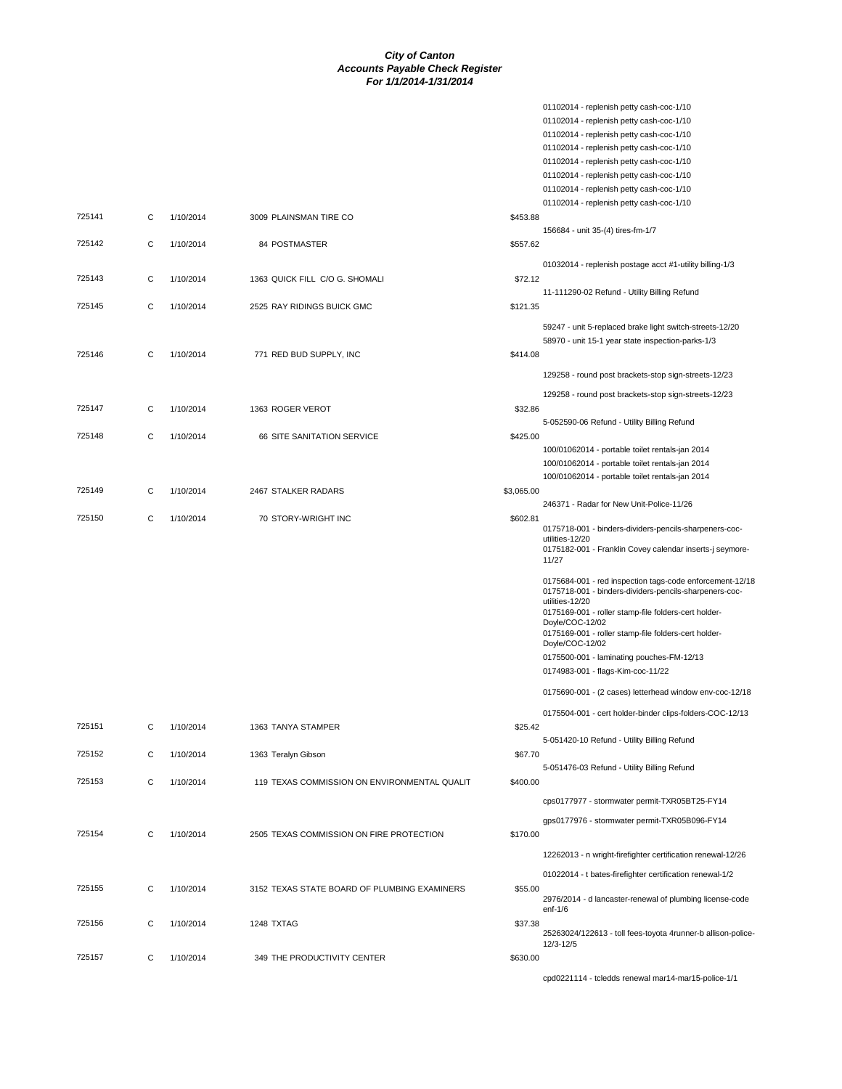01102014 - replenish petty cash-coc-1/10

|        |   |           |                                              | 01102014 - replenish petty cash-coc-1/10                                                                           |  |
|--------|---|-----------|----------------------------------------------|--------------------------------------------------------------------------------------------------------------------|--|
|        |   |           |                                              | 01102014 - replenish petty cash-coc-1/10                                                                           |  |
|        |   |           |                                              | 01102014 - replenish petty cash-coc-1/10                                                                           |  |
|        |   |           |                                              | 01102014 - replenish petty cash-coc-1/10<br>01102014 - replenish petty cash-coc-1/10                               |  |
|        |   |           |                                              | 01102014 - replenish petty cash-coc-1/10                                                                           |  |
|        |   |           |                                              | 01102014 - replenish petty cash-coc-1/10                                                                           |  |
| 725141 | C | 1/10/2014 | 3009 PLAINSMAN TIRE CO                       | \$453.88                                                                                                           |  |
|        |   |           |                                              | 156684 - unit 35-(4) tires-fm-1/7                                                                                  |  |
| 725142 | C | 1/10/2014 | 84 POSTMASTER                                | \$557.62                                                                                                           |  |
|        |   |           |                                              | 01032014 - replenish postage acct #1-utility billing-1/3                                                           |  |
| 725143 | С | 1/10/2014 | 1363 QUICK FILL C/O G. SHOMALI               | \$72.12                                                                                                            |  |
|        |   |           |                                              | 11-111290-02 Refund - Utility Billing Refund                                                                       |  |
| 725145 | C | 1/10/2014 | 2525 RAY RIDINGS BUICK GMC                   | \$121.35                                                                                                           |  |
|        |   |           |                                              | 59247 - unit 5-replaced brake light switch-streets-12/20                                                           |  |
|        |   |           |                                              | 58970 - unit 15-1 year state inspection-parks-1/3                                                                  |  |
| 725146 | С | 1/10/2014 | 771 RED BUD SUPPLY, INC                      | \$414.08                                                                                                           |  |
|        |   |           |                                              | 129258 - round post brackets-stop sign-streets-12/23                                                               |  |
|        |   |           |                                              |                                                                                                                    |  |
|        |   |           |                                              | 129258 - round post brackets-stop sign-streets-12/23<br>\$32.86                                                    |  |
| 725147 | С | 1/10/2014 | 1363 ROGER VEROT                             | 5-052590-06 Refund - Utility Billing Refund                                                                        |  |
| 725148 | C | 1/10/2014 | 66 SITE SANITATION SERVICE                   | \$425.00                                                                                                           |  |
|        |   |           |                                              | 100/01062014 - portable toilet rentals-jan 2014                                                                    |  |
|        |   |           |                                              | 100/01062014 - portable toilet rentals-jan 2014                                                                    |  |
|        |   |           |                                              | 100/01062014 - portable toilet rentals-jan 2014                                                                    |  |
| 725149 | С | 1/10/2014 | 2467 STALKER RADARS                          | \$3,065.00                                                                                                         |  |
|        |   |           |                                              | 246371 - Radar for New Unit-Police-11/26                                                                           |  |
| 725150 | С | 1/10/2014 | 70 STORY-WRIGHT INC                          | \$602.81<br>0175718-001 - binders-dividers-pencils-sharpeners-coc-                                                 |  |
|        |   |           |                                              | utilities-12/20                                                                                                    |  |
|        |   |           |                                              | 0175182-001 - Franklin Covey calendar inserts-j seymore-<br>11/27                                                  |  |
|        |   |           |                                              |                                                                                                                    |  |
|        |   |           |                                              | 0175684-001 - red inspection tags-code enforcement-12/18<br>0175718-001 - binders-dividers-pencils-sharpeners-coc- |  |
|        |   |           |                                              | utilities-12/20                                                                                                    |  |
|        |   |           |                                              | 0175169-001 - roller stamp-file folders-cert holder-<br>Doyle/COC-12/02                                            |  |
|        |   |           |                                              | 0175169-001 - roller stamp-file folders-cert holder-                                                               |  |
|        |   |           |                                              | Doyle/COC-12/02                                                                                                    |  |
|        |   |           |                                              | 0175500-001 - laminating pouches-FM-12/13                                                                          |  |
|        |   |           |                                              | 0174983-001 - flags-Kim-coc-11/22                                                                                  |  |
|        |   |           |                                              | 0175690-001 - (2 cases) letterhead window env-coc-12/18                                                            |  |
|        |   |           |                                              | 0175504-001 - cert holder-binder clips-folders-COC-12/13                                                           |  |
| 725151 | С | 1/10/2014 | 1363 TANYA STAMPER                           | \$25.42                                                                                                            |  |
|        |   |           |                                              | 5-051420-10 Refund - Utility Billing Refund                                                                        |  |
| 725152 | С | 1/10/2014 | 1363 Teralyn Gibson                          | \$67.70                                                                                                            |  |
|        |   |           |                                              | 5-051476-03 Refund - Utility Billing Refund                                                                        |  |
| 725153 | С | 1/10/2014 | 119 TEXAS COMMISSION ON ENVIRONMENTAL QUALIT | \$400.00                                                                                                           |  |
|        |   |           |                                              | cps0177977 - stormwater permit-TXR05BT25-FY14                                                                      |  |
|        |   |           |                                              | gps0177976 - stormwater permit-TXR05B096-FY14                                                                      |  |
| 725154 | C | 1/10/2014 | 2505 TEXAS COMMISSION ON FIRE PROTECTION     | \$170.00                                                                                                           |  |
|        |   |           |                                              | 12262013 - n wright-firefighter certification renewal-12/26                                                        |  |
|        |   |           |                                              |                                                                                                                    |  |
|        |   |           |                                              | 01022014 - t bates-firefighter certification renewal-1/2                                                           |  |
| 725155 | С | 1/10/2014 | 3152 TEXAS STATE BOARD OF PLUMBING EXAMINERS | \$55.00<br>2976/2014 - d lancaster-renewal of plumbing license-code                                                |  |
|        |   |           |                                              | $enf-1/6$                                                                                                          |  |
| 725156 | C | 1/10/2014 | 1248 TXTAG                                   | \$37.38                                                                                                            |  |
|        |   |           |                                              | 25263024/122613 - toll fees-toyota 4runner-b allison-police-<br>12/3-12/5                                          |  |
| 725157 | С | 1/10/2014 | 349 THE PRODUCTIVITY CENTER                  | \$630.00                                                                                                           |  |
|        |   |           |                                              | cpd0221114 - tcledds renewal mar14-mar15-police-1/1                                                                |  |
|        |   |           |                                              |                                                                                                                    |  |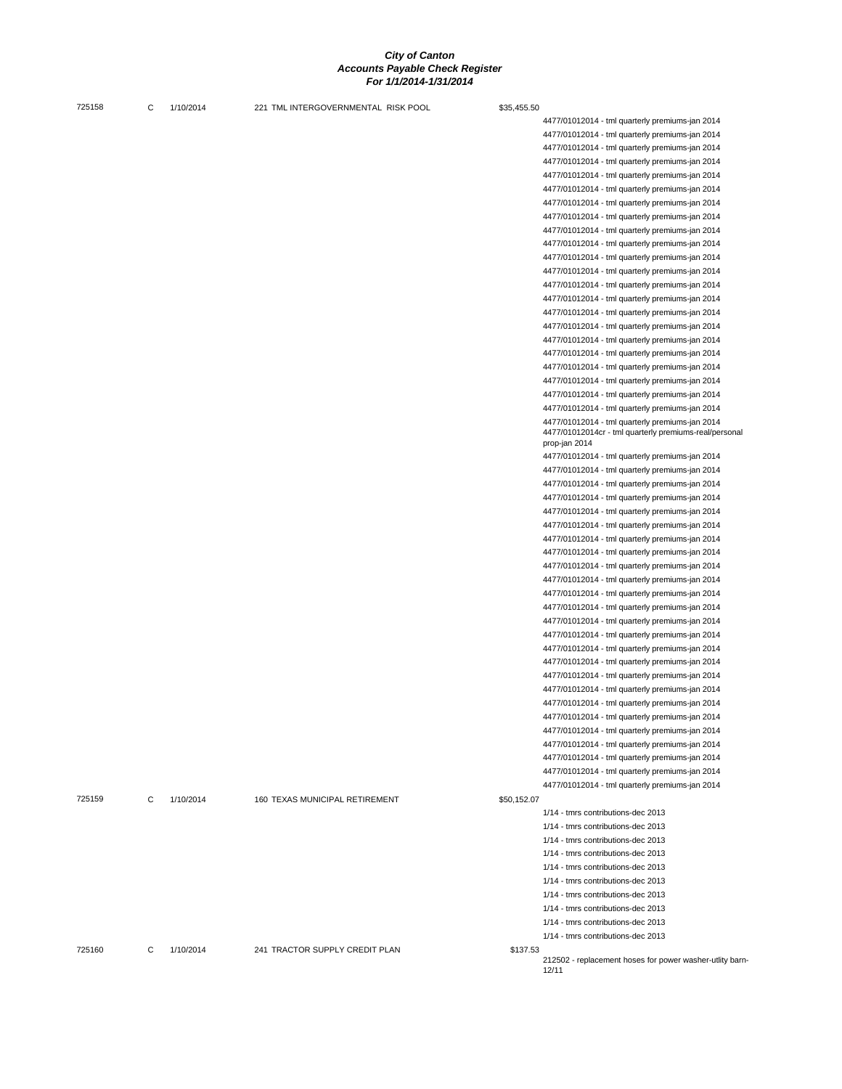| 725158 | C | 1/10/2014 | 221 TML INTERGOVERNMENTAL RISK POOL | \$35,455.50 |                                                                         |
|--------|---|-----------|-------------------------------------|-------------|-------------------------------------------------------------------------|
|        |   |           |                                     |             | 4477/01012014 - tml quarterly premiums-jan 2014                         |
|        |   |           |                                     |             | 4477/01012014 - tml quarterly premiums-jan 2014                         |
|        |   |           |                                     |             | 4477/01012014 - tml quarterly premiums-jan 2014                         |
|        |   |           |                                     |             | 4477/01012014 - tml quarterly premiums-jan 2014                         |
|        |   |           |                                     |             | 4477/01012014 - tml quarterly premiums-jan 2014                         |
|        |   |           |                                     |             | 4477/01012014 - tml quarterly premiums-jan 2014                         |
|        |   |           |                                     |             | 4477/01012014 - tml quarterly premiums-jan 2014                         |
|        |   |           |                                     |             | 4477/01012014 - tml quarterly premiums-jan 2014                         |
|        |   |           |                                     |             | 4477/01012014 - tml quarterly premiums-jan 2014                         |
|        |   |           |                                     |             | 4477/01012014 - tml quarterly premiums-jan 2014                         |
|        |   |           |                                     |             | 4477/01012014 - tml quarterly premiums-jan 2014                         |
|        |   |           |                                     |             | 4477/01012014 - tml quarterly premiums-jan 2014                         |
|        |   |           |                                     |             | 4477/01012014 - tml quarterly premiums-jan 2014                         |
|        |   |           |                                     |             | 4477/01012014 - tml quarterly premiums-jan 2014                         |
|        |   |           |                                     |             | 4477/01012014 - tml quarterly premiums-jan 2014                         |
|        |   |           |                                     |             | 4477/01012014 - tml quarterly premiums-jan 2014                         |
|        |   |           |                                     |             | 4477/01012014 - tml quarterly premiums-jan 2014                         |
|        |   |           |                                     |             | 4477/01012014 - tml quarterly premiums-jan 2014                         |
|        |   |           |                                     |             | 4477/01012014 - tml quarterly premiums-jan 2014                         |
|        |   |           |                                     |             | 4477/01012014 - tml quarterly premiums-jan 2014                         |
|        |   |           |                                     |             | 4477/01012014 - tml quarterly premiums-jan 2014                         |
|        |   |           |                                     |             | 4477/01012014 - tml quarterly premiums-jan 2014                         |
|        |   |           |                                     |             | 4477/01012014 - tml quarterly premiums-jan 2014                         |
|        |   |           |                                     |             | 4477/01012014cr - tml quarterly premiums-real/personal<br>prop-jan 2014 |
|        |   |           |                                     |             | 4477/01012014 - tml quarterly premiums-jan 2014                         |
|        |   |           |                                     |             | 4477/01012014 - tml quarterly premiums-jan 2014                         |
|        |   |           |                                     |             | 4477/01012014 - tml quarterly premiums-jan 2014                         |
|        |   |           |                                     |             | 4477/01012014 - tml quarterly premiums-jan 2014                         |
|        |   |           |                                     |             | 4477/01012014 - tml quarterly premiums-jan 2014                         |
|        |   |           |                                     |             | 4477/01012014 - tml quarterly premiums-jan 2014                         |
|        |   |           |                                     |             | 4477/01012014 - tml quarterly premiums-jan 2014                         |
|        |   |           |                                     |             | 4477/01012014 - tml quarterly premiums-jan 2014                         |
|        |   |           |                                     |             | 4477/01012014 - tml quarterly premiums-jan 2014                         |
|        |   |           |                                     |             | 4477/01012014 - tml quarterly premiums-jan 2014                         |
|        |   |           |                                     |             | 4477/01012014 - tml quarterly premiums-jan 2014                         |
|        |   |           |                                     |             | 4477/01012014 - tml quarterly premiums-jan 2014                         |
|        |   |           |                                     |             | 4477/01012014 - tml quarterly premiums-jan 2014                         |
|        |   |           |                                     |             | 4477/01012014 - tml quarterly premiums-jan 2014                         |
|        |   |           |                                     |             | 4477/01012014 - tml quarterly premiums-jan 2014                         |
|        |   |           |                                     |             | 4477/01012014 - tml quarterly premiums-jan 2014                         |
|        |   |           |                                     |             | 4477/01012014 - tml quarterly premiums-jan 2014                         |
|        |   |           |                                     |             | 4477/01012014 - tml quarterly premiums-jan 2014                         |
|        |   |           |                                     |             | 4477/01012014 - tml quarterly premiums-jan 2014                         |
|        |   |           |                                     |             | 4477/01012014 - tml quarterly premiums-jan 2014                         |
|        |   |           |                                     |             | 4477/01012014 - tml quarterly premiums-jan 2014                         |
|        |   |           |                                     |             | 4477/01012014 - tml quarterly premiums-jan 2014                         |
|        |   |           |                                     |             | 4477/01012014 - tml quarterly premiums-jan 2014                         |
|        |   |           |                                     |             | 4477/01012014 - tml quarterly premiums-jan 2014                         |
|        |   |           |                                     |             | 4477/01012014 - tml quarterly premiums-jan 2014                         |
| 725159 | C | 1/10/2014 | 160 TEXAS MUNICIPAL RETIREMENT      | \$50,152.07 |                                                                         |
|        |   |           |                                     |             | 1/14 - tmrs contributions-dec 2013                                      |
|        |   |           |                                     |             | 1/14 - tmrs contributions-dec 2013                                      |
|        |   |           |                                     |             | 1/14 - tmrs contributions-dec 2013                                      |
|        |   |           |                                     |             | 1/14 - tmrs contributions-dec 2013                                      |
|        |   |           |                                     |             | 1/14 - tmrs contributions-dec 2013                                      |
|        |   |           |                                     |             | 1/14 - tmrs contributions-dec 2013                                      |
|        |   |           |                                     |             | 1/14 - tmrs contributions-dec 2013                                      |
|        |   |           |                                     |             | 1/14 - tmrs contributions-dec 2013                                      |
|        |   |           |                                     |             | 1/14 - tmrs contributions-dec 2013                                      |
|        |   |           |                                     |             | 1/14 - tmrs contributions-dec 2013                                      |
| 725160 | C | 1/10/2014 | 241 TRACTOR SUPPLY CREDIT PLAN      | \$137.53    |                                                                         |
|        |   |           |                                     |             | 212502 - replacement hoses for power washer-utlity barn-<br>12/11       |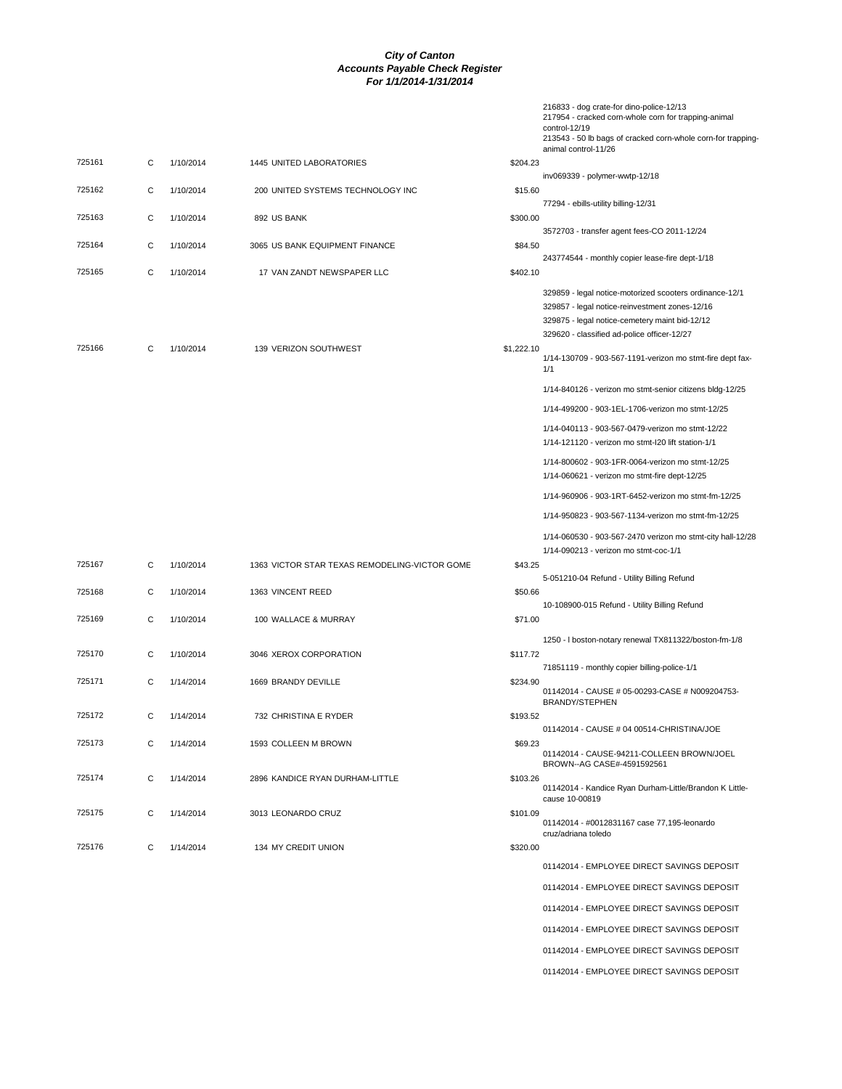|        |   |           |                                               |            | 216833 - dog crate-for dino-police-12/13<br>217954 - cracked corn-whole corn for trapping-animal<br>control-12/19<br>213543 - 50 lb bags of cracked corn-whole corn-for trapping-<br>animal control-11/26  |
|--------|---|-----------|-----------------------------------------------|------------|------------------------------------------------------------------------------------------------------------------------------------------------------------------------------------------------------------|
| 725161 | С | 1/10/2014 | 1445 UNITED LABORATORIES                      | \$204.23   |                                                                                                                                                                                                            |
|        |   |           |                                               |            | inv069339 - polymer-wwtp-12/18                                                                                                                                                                             |
| 725162 | C | 1/10/2014 | 200 UNITED SYSTEMS TECHNOLOGY INC             | \$15.60    | 77294 - ebills-utility billing-12/31                                                                                                                                                                       |
| 725163 | С | 1/10/2014 | 892 US BANK                                   | \$300.00   |                                                                                                                                                                                                            |
|        |   |           |                                               |            | 3572703 - transfer agent fees-CO 2011-12/24                                                                                                                                                                |
| 725164 | С | 1/10/2014 | 3065 US BANK EQUIPMENT FINANCE                | \$84.50    |                                                                                                                                                                                                            |
| 725165 | C | 1/10/2014 | 17 VAN ZANDT NEWSPAPER LLC                    | \$402.10   | 243774544 - monthly copier lease-fire dept-1/18                                                                                                                                                            |
|        |   |           |                                               |            | 329859 - legal notice-motorized scooters ordinance-12/1<br>329857 - legal notice-reinvestment zones-12/16<br>329875 - legal notice-cemetery maint bid-12/12<br>329620 - classified ad-police officer-12/27 |
| 725166 | С | 1/10/2014 | 139 VERIZON SOUTHWEST                         | \$1,222.10 |                                                                                                                                                                                                            |
|        |   |           |                                               |            | 1/14-130709 - 903-567-1191-verizon mo stmt-fire dept fax-<br>1/1                                                                                                                                           |
|        |   |           |                                               |            | 1/14-840126 - verizon mo stmt-senior citizens bldg-12/25                                                                                                                                                   |
|        |   |           |                                               |            | 1/14-499200 - 903-1EL-1706-verizon mo stmt-12/25                                                                                                                                                           |
|        |   |           |                                               |            | 1/14-040113 - 903-567-0479-verizon mo stmt-12/22                                                                                                                                                           |
|        |   |           |                                               |            | 1/14-121120 - verizon mo stmt-I20 lift station-1/1                                                                                                                                                         |
|        |   |           |                                               |            | 1/14-800602 - 903-1FR-0064-verizon mo stmt-12/25<br>1/14-060621 - verizon mo stmt-fire dept-12/25                                                                                                          |
|        |   |           |                                               |            | 1/14-960906 - 903-1RT-6452-verizon mo stmt-fm-12/25                                                                                                                                                        |
|        |   |           |                                               |            | 1/14-950823 - 903-567-1134-verizon mo stmt-fm-12/25                                                                                                                                                        |
|        |   |           |                                               |            | 1/14-060530 - 903-567-2470 verizon mo stmt-city hall-12/28                                                                                                                                                 |
|        |   |           |                                               |            | 1/14-090213 - verizon mo stmt-coc-1/1                                                                                                                                                                      |
| 725167 | С | 1/10/2014 | 1363 VICTOR STAR TEXAS REMODELING-VICTOR GOME | \$43.25    |                                                                                                                                                                                                            |
|        |   |           |                                               |            | 5-051210-04 Refund - Utility Billing Refund                                                                                                                                                                |
| 725168 | С | 1/10/2014 | 1363 VINCENT REED                             | \$50.66    | 10-108900-015 Refund - Utility Billing Refund                                                                                                                                                              |
| 725169 | C | 1/10/2014 | 100 WALLACE & MURRAY                          | \$71.00    |                                                                                                                                                                                                            |
|        |   |           |                                               |            | 1250 - I boston-notary renewal TX811322/boston-fm-1/8                                                                                                                                                      |
| 725170 | С | 1/10/2014 | 3046 XEROX CORPORATION                        | \$117.72   |                                                                                                                                                                                                            |
|        |   |           |                                               |            | 71851119 - monthly copier billing-police-1/1                                                                                                                                                               |
| 725171 | С | 1/14/2014 | 1669 BRANDY DEVILLE                           | \$234.90   | 01142014 - CAUSE # 05-00293-CASE # N009204753-<br><b>BRANDY/STEPHEN</b>                                                                                                                                    |
| 725172 | С | 1/14/2014 | 732 CHRISTINA E RYDER                         | \$193.52   |                                                                                                                                                                                                            |
|        |   |           |                                               |            | 01142014 - CAUSE # 04 00514-CHRISTINA/JOE                                                                                                                                                                  |
| 725173 | С | 1/14/2014 | 1593 COLLEEN M BROWN                          | \$69.23    | 01142014 - CAUSE-94211-COLLEEN BROWN/JOEL                                                                                                                                                                  |
| 725174 | С | 1/14/2014 | 2896 KANDICE RYAN DURHAM-LITTLE               | \$103.26   | BROWN--AG CASE#-4591592561                                                                                                                                                                                 |
|        |   |           |                                               |            | 01142014 - Kandice Ryan Durham-Little/Brandon K Little-<br>cause 10-00819                                                                                                                                  |
| 725175 | С | 1/14/2014 | 3013 LEONARDO CRUZ                            | \$101.09   | 01142014 - #0012831167 case 77,195-leonardo<br>cruz/adriana toledo                                                                                                                                         |
| 725176 | С | 1/14/2014 | 134 MY CREDIT UNION                           | \$320.00   |                                                                                                                                                                                                            |
|        |   |           |                                               |            | 01142014 - EMPLOYEE DIRECT SAVINGS DEPOSIT                                                                                                                                                                 |
|        |   |           |                                               |            | 01142014 - EMPLOYEE DIRECT SAVINGS DEPOSIT                                                                                                                                                                 |
|        |   |           |                                               |            |                                                                                                                                                                                                            |
|        |   |           |                                               |            | 01142014 - EMPLOYEE DIRECT SAVINGS DEPOSIT                                                                                                                                                                 |
|        |   |           |                                               |            | 01142014 - EMPLOYEE DIRECT SAVINGS DEPOSIT                                                                                                                                                                 |
|        |   |           |                                               |            | 01142014 - EMPLOYEE DIRECT SAVINGS DEPOSIT                                                                                                                                                                 |

01142014 - EMPLOYEE DIRECT SAVINGS DEPOSIT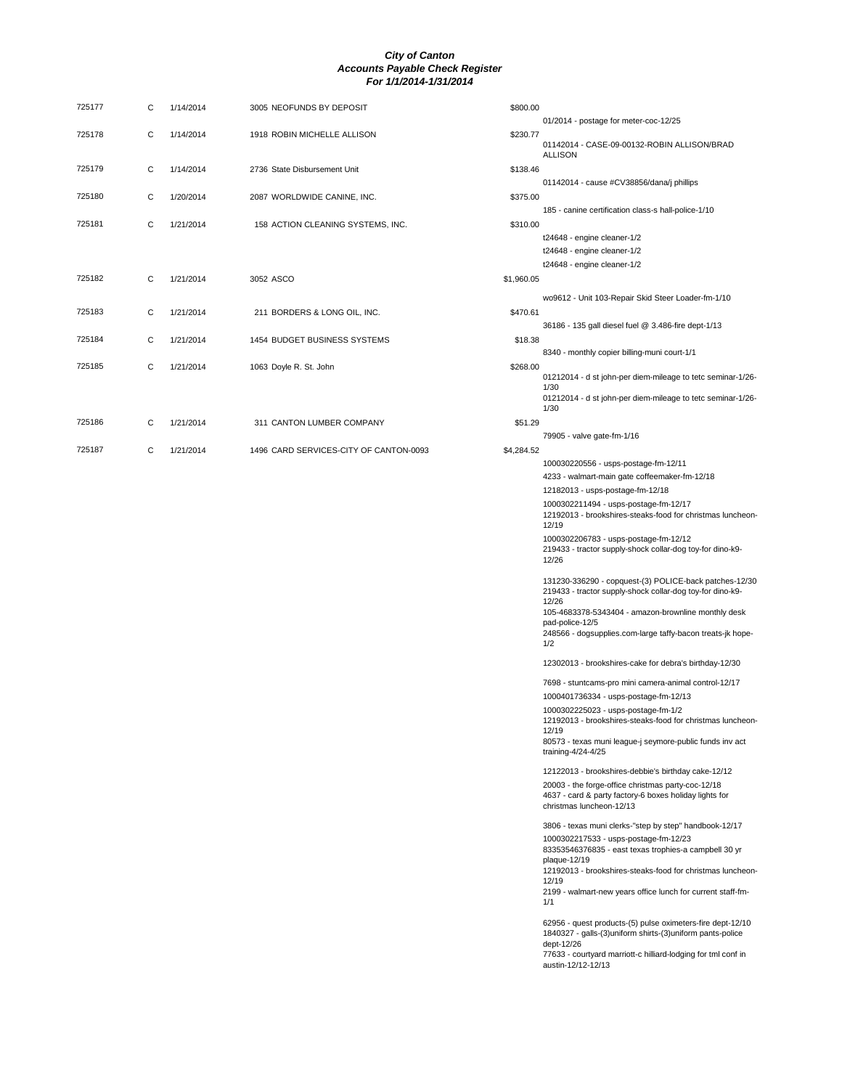| 725177 | С | 1/14/2014 | 3005 NEOFUNDS BY DEPOSIT               | \$800.00   | 01/2014 - postage for meter-coc-12/25                                                                                                       |
|--------|---|-----------|----------------------------------------|------------|---------------------------------------------------------------------------------------------------------------------------------------------|
| 725178 | C | 1/14/2014 | 1918 ROBIN MICHELLE ALLISON            | \$230.77   | 01142014 - CASE-09-00132-ROBIN ALLISON/BRAD                                                                                                 |
| 725179 | С | 1/14/2014 | 2736 State Disbursement Unit           | \$138.46   | <b>ALLISON</b>                                                                                                                              |
| 725180 | C | 1/20/2014 | 2087 WORLDWIDE CANINE, INC.            | \$375.00   | 01142014 - cause #CV38856/dana/j phillips<br>185 - canine certification class-s hall-police-1/10                                            |
| 725181 | C | 1/21/2014 | 158 ACTION CLEANING SYSTEMS, INC.      | \$310.00   | t24648 - engine cleaner-1/2                                                                                                                 |
|        |   |           |                                        |            | t24648 - engine cleaner-1/2<br>t24648 - engine cleaner-1/2                                                                                  |
| 725182 | С | 1/21/2014 | 3052 ASCO                              | \$1,960.05 | wo9612 - Unit 103-Repair Skid Steer Loader-fm-1/10                                                                                          |
| 725183 | C | 1/21/2014 | 211 BORDERS & LONG OIL, INC.           | \$470.61   | 36186 - 135 gall diesel fuel @ 3.486-fire dept-1/13                                                                                         |
| 725184 | C | 1/21/2014 | 1454 BUDGET BUSINESS SYSTEMS           | \$18.38    | 8340 - monthly copier billing-muni court-1/1                                                                                                |
| 725185 | С | 1/21/2014 | 1063 Doyle R. St. John                 | \$268.00   | 01212014 - d st john-per diem-mileage to tetc seminar-1/26-<br>1/30<br>01212014 - d st john-per diem-mileage to tetc seminar-1/26-          |
|        |   |           |                                        |            | 1/30                                                                                                                                        |
| 725186 | С | 1/21/2014 | 311 CANTON LUMBER COMPANY              | \$51.29    | 79905 - valve gate-fm-1/16                                                                                                                  |
| 725187 | С | 1/21/2014 | 1496 CARD SERVICES-CITY OF CANTON-0093 | \$4,284.52 |                                                                                                                                             |
|        |   |           |                                        |            | 100030220556 - usps-postage-fm-12/11                                                                                                        |
|        |   |           |                                        |            | 4233 - walmart-main gate coffeemaker-fm-12/18<br>12182013 - usps-postage-fm-12/18                                                           |
|        |   |           |                                        |            | 1000302211494 - usps-postage-fm-12/17                                                                                                       |
|        |   |           |                                        |            | 12192013 - brookshires-steaks-food for christmas luncheon-<br>12/19                                                                         |
|        |   |           |                                        |            | 1000302206783 - usps-postage-fm-12/12<br>219433 - tractor supply-shock collar-dog toy-for dino-k9-<br>12/26                                 |
|        |   |           |                                        |            | 131230-336290 - copquest-(3) POLICE-back patches-12/30<br>219433 - tractor supply-shock collar-dog toy-for dino-k9-<br>12/26                |
|        |   |           |                                        |            | 105-4683378-5343404 - amazon-brownline monthly desk<br>pad-police-12/5<br>248566 - dogsupplies.com-large taffy-bacon treats-jk hope-<br>1/2 |
|        |   |           |                                        |            | 12302013 - brookshires-cake for debra's birthday-12/30                                                                                      |
|        |   |           |                                        |            | 7698 - stuntcams-pro mini camera-animal control-12/17                                                                                       |
|        |   |           |                                        |            | 1000401736334 - usps-postage-fm-12/13<br>1000302225023 - usps-postage-fm-1/2                                                                |
|        |   |           |                                        |            | 12192013 - brookshires-steaks-food for christmas luncheon-<br>12/19                                                                         |
|        |   |           |                                        |            | 80573 - texas muni league-j seymore-public funds inv act<br>training-4/24-4/25                                                              |
|        |   |           |                                        |            | 12122013 - brookshires-debbie's birthday cake-12/12                                                                                         |
|        |   |           |                                        |            | 20003 - the forge-office christmas party-coc-12/18<br>4637 - card & party factory-6 boxes holiday lights for<br>christmas luncheon-12/13    |
|        |   |           |                                        |            | 3806 - texas muni clerks-"step by step" handbook-12/17                                                                                      |
|        |   |           |                                        |            | 1000302217533 - usps-postage-fm-12/23<br>83353546376835 - east texas trophies-a campbell 30 yr                                              |
|        |   |           |                                        |            | plaque-12/19<br>12192013 - brookshires-steaks-food for christmas luncheon-<br>12/19                                                         |
|        |   |           |                                        |            | 2199 - walmart-new years office lunch for current staff-fm-<br>1/1                                                                          |
|        |   |           |                                        |            | 62956 - quest products-(5) pulse oximeters-fire dept-12/10                                                                                  |

62956 - quest products-(5) pulse oximeters-fire dept-12/10 1840327 - galls-(3)uniform shirts-(3)uniform pants-police dept-12/26 77633 - courtyard marriott-c hilliard-lodging for tml conf in austin-12/12-12/13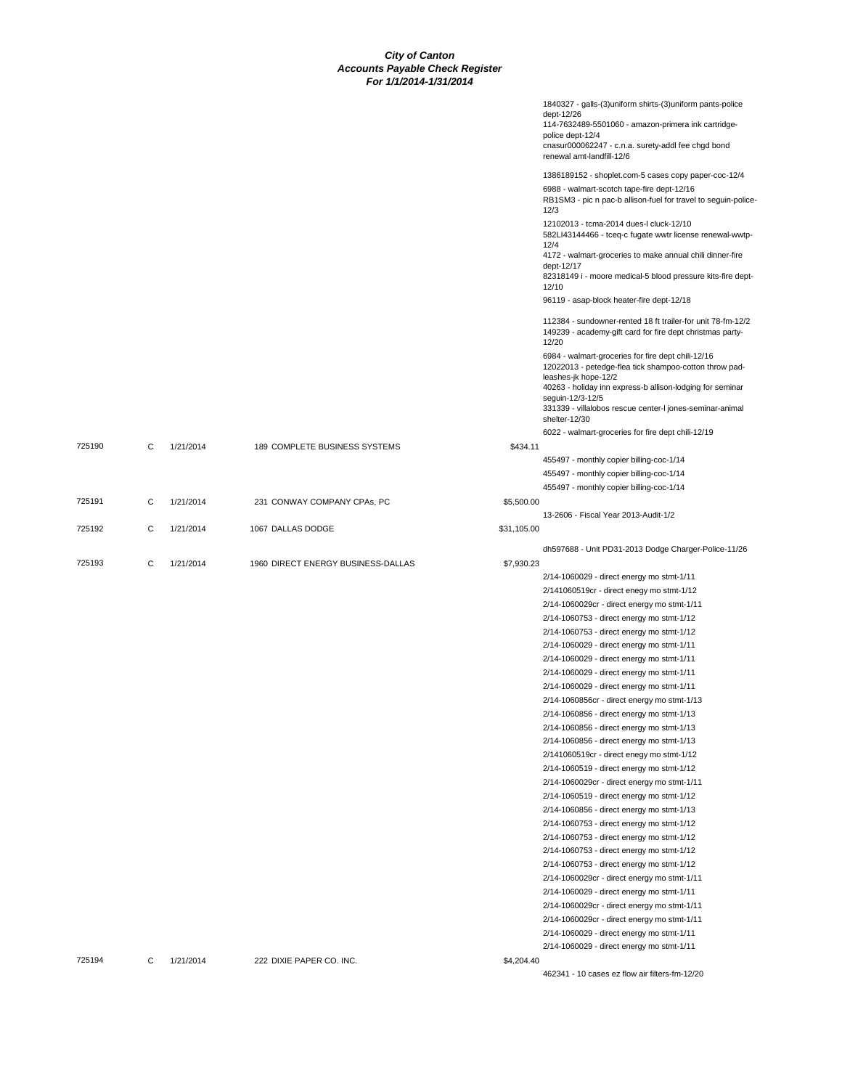|        |   |           |                                    |             | 1840327 - galls-(3)uniform shirts-(3)uniform pants-police<br>dept-12/26<br>114-7632489-5501060 - amazon-primera ink cartridge-<br>police dept-12/4<br>cnasur000062247 - c.n.a. surety-addl fee chgd bond<br>renewal amt-landfill-12/6 |
|--------|---|-----------|------------------------------------|-------------|---------------------------------------------------------------------------------------------------------------------------------------------------------------------------------------------------------------------------------------|
|        |   |           |                                    |             | 1386189152 - shoplet.com-5 cases copy paper-coc-12/4                                                                                                                                                                                  |
|        |   |           |                                    |             | 6988 - walmart-scotch tape-fire dept-12/16<br>RB1SM3 - pic n pac-b allison-fuel for travel to seguin-police<br>12/3                                                                                                                   |
|        |   |           |                                    |             | 12102013 - tcma-2014 dues-l cluck-12/10<br>582LI43144466 - tceq-c fugate wwtr license renewal-wwtp-<br>12/4                                                                                                                           |
|        |   |           |                                    |             | 4172 - walmart-groceries to make annual chili dinner-fire<br>dept-12/17                                                                                                                                                               |
|        |   |           |                                    |             | 82318149 i - moore medical-5 blood pressure kits-fire dept-<br>12/10                                                                                                                                                                  |
|        |   |           |                                    |             | 96119 - asap-block heater-fire dept-12/18                                                                                                                                                                                             |
|        |   |           |                                    |             | 112384 - sundowner-rented 18 ft trailer-for unit 78-fm-12/2<br>149239 - academy-gift card for fire dept christmas party-<br>12/20                                                                                                     |
|        |   |           |                                    |             | 6984 - walmart-groceries for fire dept chili-12/16<br>12022013 - petedge-flea tick shampoo-cotton throw pad-<br>leashes-jk hope-12/2                                                                                                  |
|        |   |           |                                    |             | 40263 - holiday inn express-b allison-lodging for seminar<br>seguin-12/3-12/5<br>331339 - villalobos rescue center-I jones-seminar-animal<br>shelter-12/30                                                                            |
|        |   |           |                                    |             | 6022 - walmart-groceries for fire dept chili-12/19                                                                                                                                                                                    |
| 725190 | С | 1/21/2014 | 189 COMPLETE BUSINESS SYSTEMS      | \$434.11    |                                                                                                                                                                                                                                       |
|        |   |           |                                    |             | 455497 - monthly copier billing-coc-1/14<br>455497 - monthly copier billing-coc-1/14                                                                                                                                                  |
|        |   |           |                                    |             | 455497 - monthly copier billing-coc-1/14                                                                                                                                                                                              |
| 725191 | С | 1/21/2014 | 231 CONWAY COMPANY CPAs, PC        | \$5,500.00  |                                                                                                                                                                                                                                       |
|        |   |           |                                    |             | 13-2606 - Fiscal Year 2013-Audit-1/2                                                                                                                                                                                                  |
| 725192 | C | 1/21/2014 | 1067 DALLAS DODGE                  | \$31,105.00 |                                                                                                                                                                                                                                       |
|        |   |           |                                    |             | dh597688 - Unit PD31-2013 Dodge Charger-Police-11/26                                                                                                                                                                                  |
| 725193 | С | 1/21/2014 | 1960 DIRECT ENERGY BUSINESS-DALLAS | \$7,930.23  |                                                                                                                                                                                                                                       |
|        |   |           |                                    |             | 2/14-1060029 - direct energy mo stmt-1/11                                                                                                                                                                                             |
|        |   |           |                                    |             | 2/141060519cr - direct enegy mo stmt-1/12<br>2/14-1060029cr - direct energy mo stmt-1/11                                                                                                                                              |
|        |   |           |                                    |             | 2/14-1060753 - direct energy mo stmt-1/12                                                                                                                                                                                             |
|        |   |           |                                    |             | 2/14-1060753 - direct energy mo stmt-1/12                                                                                                                                                                                             |
|        |   |           |                                    |             | 2/14-1060029 - direct energy mo stmt-1/11                                                                                                                                                                                             |
|        |   |           |                                    |             | 2/14-1060029 - direct energy mo stmt-1/11                                                                                                                                                                                             |
|        |   |           |                                    |             | 2/14-1060029 - direct energy mo stmt-1/11                                                                                                                                                                                             |
|        |   |           |                                    |             | 2/14-1060029 - direct energy mo stmt-1/11                                                                                                                                                                                             |
|        |   |           |                                    |             | 2/14-1060856cr - direct energy mo stmt-1/13                                                                                                                                                                                           |
|        |   |           |                                    |             | 2/14-1060856 - direct energy mo stmt-1/13                                                                                                                                                                                             |
|        |   |           |                                    |             | 2/14-1060856 - direct energy mo stmt-1/13                                                                                                                                                                                             |
|        |   |           |                                    |             | 2/14-1060856 - direct energy mo stmt-1/13                                                                                                                                                                                             |
|        |   |           |                                    |             | 2/141060519cr - direct enegy mo stmt-1/12                                                                                                                                                                                             |
|        |   |           |                                    |             | 2/14-1060519 - direct energy mo stmt-1/12                                                                                                                                                                                             |
|        |   |           |                                    |             | 2/14-1060029cr - direct energy mo stmt-1/11                                                                                                                                                                                           |
|        |   |           |                                    |             | 2/14-1060519 - direct energy mo stmt-1/12                                                                                                                                                                                             |
|        |   |           |                                    |             | 2/14-1060856 - direct energy mo stmt-1/13                                                                                                                                                                                             |
|        |   |           |                                    |             | 2/14-1060753 - direct energy mo stmt-1/12                                                                                                                                                                                             |
|        |   |           |                                    |             | 2/14-1060753 - direct energy mo stmt-1/12                                                                                                                                                                                             |
|        |   |           |                                    |             | 2/14-1060753 - direct energy mo stmt-1/12                                                                                                                                                                                             |
|        |   |           |                                    |             | 2/14-1060753 - direct energy mo stmt-1/12                                                                                                                                                                                             |
|        |   |           |                                    |             | 2/14-1060029cr - direct energy mo stmt-1/11                                                                                                                                                                                           |
|        |   |           |                                    |             |                                                                                                                                                                                                                                       |
|        |   |           |                                    |             | 2/14-1060029 - direct energy mo stmt-1/11                                                                                                                                                                                             |
|        |   |           |                                    |             | 2/14-1060029cr - direct energy mo stmt-1/11                                                                                                                                                                                           |
|        |   |           |                                    |             | 2/14-1060029cr - direct energy mo stmt-1/11                                                                                                                                                                                           |
|        |   |           |                                    |             | 2/14-1060029 - direct energy mo stmt-1/11                                                                                                                                                                                             |
|        |   |           |                                    |             | 2/14-1060029 - direct energy mo stmt-1/11                                                                                                                                                                                             |
| 725194 | С | 1/21/2014 | 222 DIXIE PAPER CO. INC.           | \$4,204.40  | 462341 - 10 cases ez flow air filters-fm-12/20                                                                                                                                                                                        |
|        |   |           |                                    |             |                                                                                                                                                                                                                                       |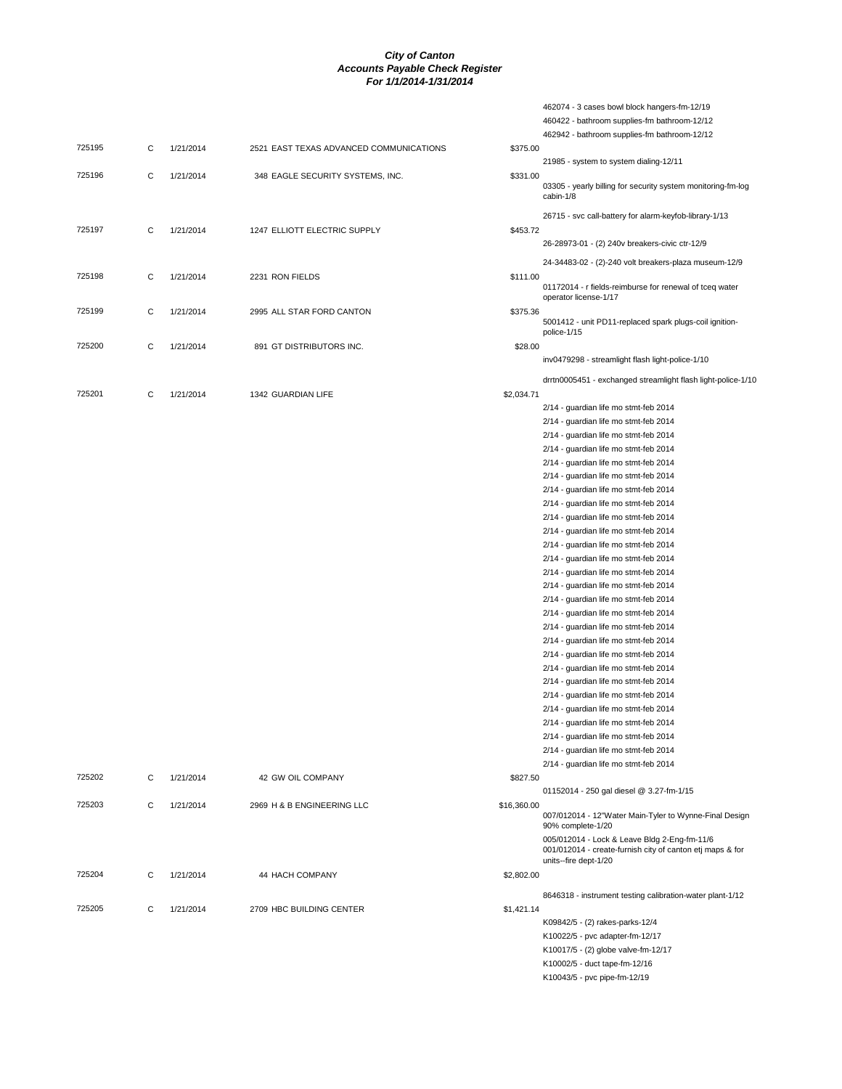462074 - 3 cases bowl block hangers-fm-12/19

|        |   |           |                                         |             | 460422 - bathroom supplies-fm bathroom-12/12                                                              |
|--------|---|-----------|-----------------------------------------|-------------|-----------------------------------------------------------------------------------------------------------|
|        |   |           |                                         |             | 462942 - bathroom supplies-fm bathroom-12/12                                                              |
| 725195 | С | 1/21/2014 | 2521 EAST TEXAS ADVANCED COMMUNICATIONS | \$375.00    |                                                                                                           |
|        |   |           |                                         |             | 21985 - system to system dialing-12/11                                                                    |
| 725196 | C | 1/21/2014 | 348 EAGLE SECURITY SYSTEMS, INC.        | \$331.00    |                                                                                                           |
|        |   |           |                                         |             | 03305 - yearly billing for security system monitoring-fm-log<br>cabin-1/8                                 |
|        |   |           |                                         |             |                                                                                                           |
|        |   |           |                                         |             | 26715 - svc call-battery for alarm-keyfob-library-1/13                                                    |
| 725197 | С | 1/21/2014 | 1247 ELLIOTT ELECTRIC SUPPLY            | \$453.72    |                                                                                                           |
|        |   |           |                                         |             | 26-28973-01 - (2) 240v breakers-civic ctr-12/9                                                            |
|        |   |           |                                         |             | 24-34483-02 - (2)-240 volt breakers-plaza museum-12/9                                                     |
| 725198 | С | 1/21/2014 | 2231 RON FIELDS                         | \$111.00    |                                                                                                           |
|        |   |           |                                         |             | 01172014 - r fields-reimburse for renewal of tceq water                                                   |
|        |   |           |                                         |             | operator license-1/17                                                                                     |
| 725199 | С | 1/21/2014 | 2995 ALL STAR FORD CANTON               | \$375.36    |                                                                                                           |
|        |   |           |                                         |             | 5001412 - unit PD11-replaced spark plugs-coil ignition-<br>police-1/15                                    |
| 725200 | С | 1/21/2014 | 891 GT DISTRIBUTORS INC.                | \$28.00     |                                                                                                           |
|        |   |           |                                         |             | inv0479298 - streamlight flash light-police-1/10                                                          |
|        |   |           |                                         |             |                                                                                                           |
|        |   |           |                                         |             | drrtn0005451 - exchanged streamlight flash light-police-1/10                                              |
| 725201 | C | 1/21/2014 | 1342 GUARDIAN LIFE                      | \$2,034.71  |                                                                                                           |
|        |   |           |                                         |             | 2/14 - guardian life mo stmt-feb 2014                                                                     |
|        |   |           |                                         |             | 2/14 - guardian life mo stmt-feb 2014                                                                     |
|        |   |           |                                         |             | 2/14 - guardian life mo stmt-feb 2014                                                                     |
|        |   |           |                                         |             | 2/14 - guardian life mo stmt-feb 2014                                                                     |
|        |   |           |                                         |             | 2/14 - guardian life mo stmt-feb 2014                                                                     |
|        |   |           |                                         |             | 2/14 - guardian life mo stmt-feb 2014                                                                     |
|        |   |           |                                         |             | 2/14 - guardian life mo stmt-feb 2014                                                                     |
|        |   |           |                                         |             | 2/14 - guardian life mo stmt-feb 2014                                                                     |
|        |   |           |                                         |             | 2/14 - guardian life mo stmt-feb 2014                                                                     |
|        |   |           |                                         |             | 2/14 - guardian life mo stmt-feb 2014                                                                     |
|        |   |           |                                         |             | 2/14 - guardian life mo stmt-feb 2014                                                                     |
|        |   |           |                                         |             | 2/14 - guardian life mo stmt-feb 2014                                                                     |
|        |   |           |                                         |             | 2/14 - guardian life mo stmt-feb 2014                                                                     |
|        |   |           |                                         |             | 2/14 - guardian life mo stmt-feb 2014                                                                     |
|        |   |           |                                         |             | 2/14 - guardian life mo stmt-feb 2014                                                                     |
|        |   |           |                                         |             | 2/14 - guardian life mo stmt-feb 2014                                                                     |
|        |   |           |                                         |             | 2/14 - guardian life mo stmt-feb 2014                                                                     |
|        |   |           |                                         |             |                                                                                                           |
|        |   |           |                                         |             | 2/14 - guardian life mo stmt-feb 2014                                                                     |
|        |   |           |                                         |             | 2/14 - guardian life mo stmt-feb 2014                                                                     |
|        |   |           |                                         |             | 2/14 - guardian life mo stmt-feb 2014                                                                     |
|        |   |           |                                         |             | 2/14 - guardian life mo stmt-feb 2014                                                                     |
|        |   |           |                                         |             | 2/14 - guardian life mo stmt-feb 2014                                                                     |
|        |   |           |                                         |             | 2/14 - guardian life mo stmt-feb 2014                                                                     |
|        |   |           |                                         |             | 2/14 - guardian life mo stmt-feb 2014                                                                     |
|        |   |           |                                         |             | 2/14 - guardian life mo stmt-feb 2014                                                                     |
|        |   |           |                                         |             | 2/14 - guardian life mo stmt-feb 2014                                                                     |
|        |   |           |                                         |             | 2/14 - guardian life mo stmt-feb 2014                                                                     |
| 725202 | C | 1/21/2014 | 42 GW OIL COMPANY                       | \$827.50    |                                                                                                           |
|        |   |           |                                         |             | 01152014 - 250 gal diesel @ 3.27-fm-1/15                                                                  |
| 725203 | С | 1/21/2014 | 2969 H & B ENGINEERING LLC              | \$16,360.00 |                                                                                                           |
|        |   |           |                                         |             | 007/012014 - 12"Water Main-Tyler to Wynne-Final Design<br>90% complete-1/20                               |
|        |   |           |                                         |             | 005/012014 - Lock & Leave Bldg 2-Eng-fm-11/6<br>001/012014 - create-furnish city of canton etj maps & for |
|        |   |           |                                         |             | units--fire dept-1/20                                                                                     |
| 725204 | C | 1/21/2014 | 44 HACH COMPANY                         | \$2,802.00  |                                                                                                           |
|        |   |           |                                         |             | 8646318 - instrument testing calibration-water plant-1/12                                                 |
| 725205 | C | 1/21/2014 | 2709 HBC BUILDING CENTER                | \$1,421.14  |                                                                                                           |
|        |   |           |                                         |             | K09842/5 - (2) rakes-parks-12/4                                                                           |
|        |   |           |                                         |             | K10022/5 - pvc adapter-fm-12/17                                                                           |
|        |   |           |                                         |             | K10017/5 - (2) globe valve-fm-12/17                                                                       |
|        |   |           |                                         |             | K10002/5 - duct tape-fm-12/16                                                                             |
|        |   |           |                                         |             | K10043/5 - pvc pipe-fm-12/19                                                                              |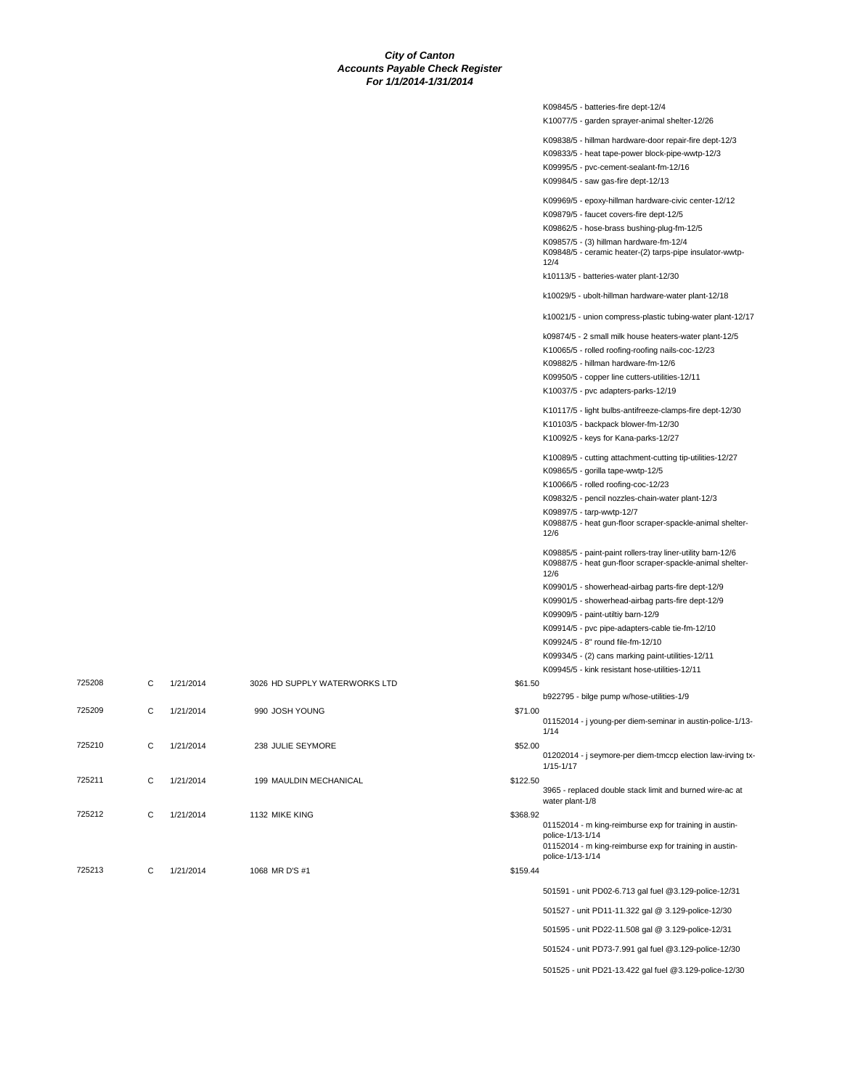|          | K09845/5 - batteries-fire dept-12/4                                                                                                    |
|----------|----------------------------------------------------------------------------------------------------------------------------------------|
|          | K10077/5 - garden sprayer-animal shelter-12/26                                                                                         |
|          | K09838/5 - hillman hardware-door repair-fire dept-12/3                                                                                 |
|          | K09833/5 - heat tape-power block-pipe-wwtp-12/3                                                                                        |
|          | K09995/5 - pvc-cement-sealant-fm-12/16                                                                                                 |
|          | K09984/5 - saw gas-fire dept-12/13                                                                                                     |
|          | K09969/5 - epoxy-hillman hardware-civic center-12/12                                                                                   |
|          | K09879/5 - faucet covers-fire dept-12/5                                                                                                |
|          | K09862/5 - hose-brass bushing-plug-fm-12/5                                                                                             |
|          | K09857/5 - (3) hillman hardware-fm-12/4<br>K09848/5 - ceramic heater-(2) tarps-pipe insulator-wwtp-<br>12/4                            |
|          | k10113/5 - batteries-water plant-12/30                                                                                                 |
|          | k10029/5 - ubolt-hillman hardware-water plant-12/18                                                                                    |
|          | k10021/5 - union compress-plastic tubing-water plant-12/17                                                                             |
|          | k09874/5 - 2 small milk house heaters-water plant-12/5                                                                                 |
|          | K10065/5 - rolled roofing-roofing nails-coc-12/23                                                                                      |
|          | K09882/5 - hillman hardware-fm-12/6                                                                                                    |
|          | K09950/5 - copper line cutters-utilities-12/11                                                                                         |
|          | K10037/5 - pvc adapters-parks-12/19                                                                                                    |
|          | K10117/5 - light bulbs-antifreeze-clamps-fire dept-12/30                                                                               |
|          | K10103/5 - backpack blower-fm-12/30                                                                                                    |
|          | K10092/5 - keys for Kana-parks-12/27                                                                                                   |
|          | K10089/5 - cutting attachment-cutting tip-utilities-12/27                                                                              |
|          | K09865/5 - gorilla tape-wwtp-12/5                                                                                                      |
|          | K10066/5 - rolled roofing-coc-12/23                                                                                                    |
|          | K09832/5 - pencil nozzles-chain-water plant-12/3                                                                                       |
|          | K09897/5 - tarp-wwtp-12/7<br>K09887/5 - heat gun-floor scraper-spackle-animal shelter-<br>12/6                                         |
|          | K09885/5 - paint-paint rollers-tray liner-utility barn-12/6<br>K09887/5 - heat gun-floor scraper-spackle-animal shelter-<br>12/6       |
|          | K09901/5 - showerhead-airbag parts-fire dept-12/9                                                                                      |
|          | K09901/5 - showerhead-airbag parts-fire dept-12/9                                                                                      |
|          | K09909/5 - paint-utiltiy barn-12/9                                                                                                     |
|          | K09914/5 - pvc pipe-adapters-cable tie-fm-12/10                                                                                        |
|          | K09924/5 - 8" round file-fm-12/10                                                                                                      |
|          | K09934/5 - (2) cans marking paint-utilities-12/11                                                                                      |
| \$61.50  | K09945/5 - kink resistant hose-utilities-12/11                                                                                         |
|          | b922795 - bilge pump w/hose-utilities-1/9                                                                                              |
| \$71.00  | 01152014 - j young-per diem-seminar in austin-police-1/13-<br>1/14                                                                     |
| \$52.00  | 01202014 - j seymore-per diem-tmccp election law-irving tx-<br>1/15-1/17                                                               |
| \$122.50 | 3965 - replaced double stack limit and burned wire-ac at<br>water plant-1/8                                                            |
| \$368.92 |                                                                                                                                        |
|          | 01152014 - m king-reimburse exp for training in austin-<br>police-1/13-1/14<br>01152014 - m king-reimburse exp for training in austin- |
|          | police-1/13-1/14                                                                                                                       |
| \$159.44 |                                                                                                                                        |
|          | 501591 - unit PD02-6.713 gal fuel @3.129-police-12/31                                                                                  |
|          | 501527 - unit PD11-11.322 gal @ 3.129-police-12/30                                                                                     |
|          | 501595 - unit PD22-11.508 gal @ 3.129-police-12/31                                                                                     |

501525 - unit PD21-13.422 gal fuel @3.129-police-12/30

| 725208 | C | 1/21/2014 | 3026 HD SUPPLY WATERWORKS LTD | \$61.50  |
|--------|---|-----------|-------------------------------|----------|
| 725209 | C | 1/21/2014 | 990 JOSH YOUNG                | \$71.00  |
| 725210 | C | 1/21/2014 | 238 JULIE SEYMORE             | \$52.00  |
| 725211 | C | 1/21/2014 | 199 MAULDIN MECHANICAL        | \$122.50 |
| 725212 | C | 1/21/2014 | 1132 MIKE KING                | \$368.92 |
|        |   |           |                               |          |
| 725213 | C | 1/21/2014 | 1068 MR D'S #1                | \$159.44 |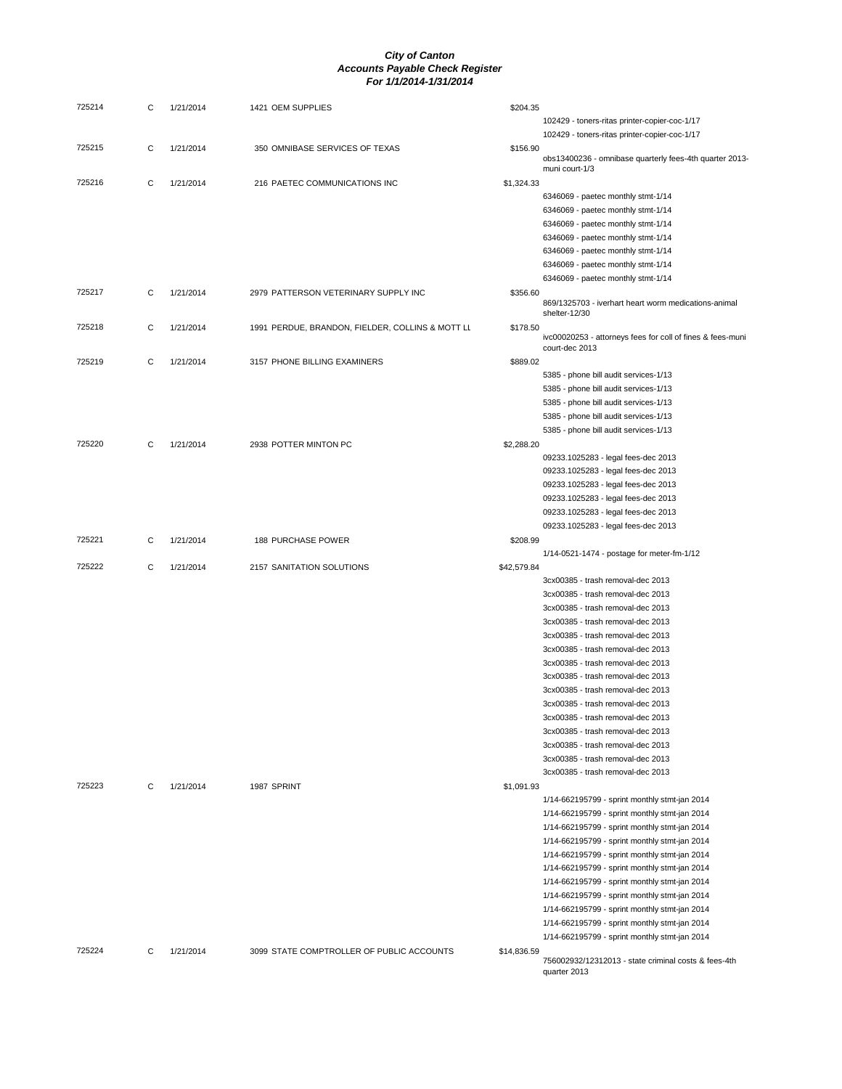| 725214 | С | 1/21/2014 | 1421 OEM SUPPLIES                                | \$204.35    |                                                                              |
|--------|---|-----------|--------------------------------------------------|-------------|------------------------------------------------------------------------------|
|        |   |           |                                                  |             | 102429 - toners-ritas printer-copier-coc-1/17                                |
|        |   |           |                                                  |             | 102429 - toners-ritas printer-copier-coc-1/17                                |
| 725215 | С | 1/21/2014 | 350 OMNIBASE SERVICES OF TEXAS                   | \$156.90    | obs13400236 - omnibase quarterly fees-4th quarter 2013-<br>muni court-1/3    |
| 725216 | С | 1/21/2014 | 216 PAETEC COMMUNICATIONS INC                    | \$1,324.33  |                                                                              |
|        |   |           |                                                  |             | 6346069 - paetec monthly stmt-1/14                                           |
|        |   |           |                                                  |             | 6346069 - paetec monthly stmt-1/14                                           |
|        |   |           |                                                  |             | 6346069 - paetec monthly stmt-1/14                                           |
|        |   |           |                                                  |             | 6346069 - paetec monthly stmt-1/14                                           |
|        |   |           |                                                  |             |                                                                              |
|        |   |           |                                                  |             | 6346069 - paetec monthly stmt-1/14                                           |
|        |   |           |                                                  |             | 6346069 - paetec monthly stmt-1/14                                           |
|        |   |           |                                                  |             | 6346069 - paetec monthly stmt-1/14                                           |
| 725217 | C | 1/21/2014 | 2979 PATTERSON VETERINARY SUPPLY INC             | \$356.60    | 869/1325703 - iverhart heart worm medications-animal<br>shelter-12/30        |
| 725218 | С | 1/21/2014 | 1991 PERDUE, BRANDON, FIELDER, COLLINS & MOTT LL | \$178.50    | ivc00020253 - attorneys fees for coll of fines & fees-muni<br>court-dec 2013 |
| 725219 | С | 1/21/2014 | 3157 PHONE BILLING EXAMINERS                     | \$889.02    |                                                                              |
|        |   |           |                                                  |             | 5385 - phone bill audit services-1/13                                        |
|        |   |           |                                                  |             | 5385 - phone bill audit services-1/13                                        |
|        |   |           |                                                  |             | 5385 - phone bill audit services-1/13                                        |
|        |   |           |                                                  |             | 5385 - phone bill audit services-1/13                                        |
|        |   |           |                                                  |             | 5385 - phone bill audit services-1/13                                        |
| 725220 | C | 1/21/2014 | 2938 POTTER MINTON PC                            | \$2,288.20  |                                                                              |
|        |   |           |                                                  |             | 09233.1025283 - legal fees-dec 2013                                          |
|        |   |           |                                                  |             | 09233.1025283 - legal fees-dec 2013                                          |
|        |   |           |                                                  |             | 09233.1025283 - legal fees-dec 2013                                          |
|        |   |           |                                                  |             | 09233.1025283 - legal fees-dec 2013                                          |
|        |   |           |                                                  |             | 09233.1025283 - legal fees-dec 2013                                          |
|        |   |           |                                                  |             | 09233.1025283 - legal fees-dec 2013                                          |
| 725221 | С | 1/21/2014 | 188 PURCHASE POWER                               | \$208.99    |                                                                              |
|        |   |           |                                                  |             | 1/14-0521-1474 - postage for meter-fm-1/12                                   |
| 725222 | C | 1/21/2014 | 2157 SANITATION SOLUTIONS                        | \$42,579.84 |                                                                              |
|        |   |           |                                                  |             | 3cx00385 - trash removal-dec 2013                                            |
|        |   |           |                                                  |             | 3cx00385 - trash removal-dec 2013                                            |
|        |   |           |                                                  |             | 3cx00385 - trash removal-dec 2013                                            |
|        |   |           |                                                  |             | 3cx00385 - trash removal-dec 2013                                            |
|        |   |           |                                                  |             | 3cx00385 - trash removal-dec 2013                                            |
|        |   |           |                                                  |             | 3cx00385 - trash removal-dec 2013                                            |
|        |   |           |                                                  |             | 3cx00385 - trash removal-dec 2013                                            |
|        |   |           |                                                  |             | 3cx00385 - trash removal-dec 2013                                            |
|        |   |           |                                                  |             | 3cx00385 - trash removal-dec 2013                                            |
|        |   |           |                                                  |             | 3cx00385 - trash removal-dec 2013                                            |
|        |   |           |                                                  |             | 3cx00385 - trash removal-dec 2013                                            |
|        |   |           |                                                  |             |                                                                              |
|        |   |           |                                                  |             | 3cx00385 - trash removal-dec 2013                                            |
|        |   |           |                                                  |             | 3cx00385 - trash removal-dec 2013                                            |
|        |   |           |                                                  |             | 3cx00385 - trash removal-dec 2013<br>3cx00385 - trash removal-dec 2013       |
|        |   |           |                                                  |             |                                                                              |
| 725223 | С | 1/21/2014 | 1987 SPRINT                                      | \$1,091.93  |                                                                              |
|        |   |           |                                                  |             | 1/14-662195799 - sprint monthly stmt-jan 2014                                |
|        |   |           |                                                  |             | 1/14-662195799 - sprint monthly stmt-jan 2014                                |
|        |   |           |                                                  |             | 1/14-662195799 - sprint monthly stmt-jan 2014                                |
|        |   |           |                                                  |             | 1/14-662195799 - sprint monthly stmt-jan 2014                                |
|        |   |           |                                                  |             | 1/14-662195799 - sprint monthly stmt-jan 2014                                |
|        |   |           |                                                  |             | 1/14-662195799 - sprint monthly stmt-jan 2014                                |
|        |   |           |                                                  |             | 1/14-662195799 - sprint monthly stmt-jan 2014                                |
|        |   |           |                                                  |             | 1/14-662195799 - sprint monthly stmt-jan 2014                                |
|        |   |           |                                                  |             | 1/14-662195799 - sprint monthly stmt-jan 2014                                |
|        |   |           |                                                  |             | 1/14-662195799 - sprint monthly stmt-jan 2014                                |
|        |   |           |                                                  |             | 1/14-662195799 - sprint monthly stmt-jan 2014                                |
| 725224 | С | 1/21/2014 | 3099 STATE COMPTROLLER OF PUBLIC ACCOUNTS        | \$14,836.59 | 756002932/12312013 - state criminal costs & fees-4th<br>quarter 2013         |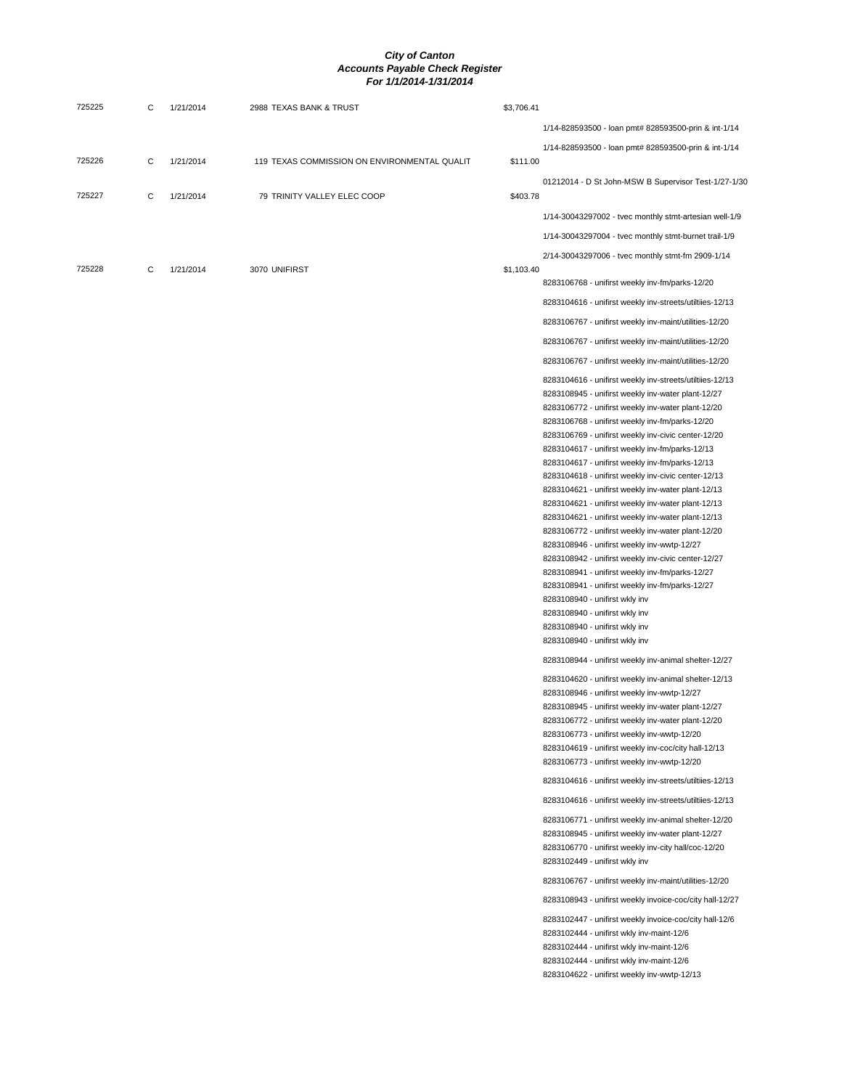| 725225 | С | 1/21/2014 | 2988 TEXAS BANK & TRUST                      | \$3,706.41 |                                                                                                                |
|--------|---|-----------|----------------------------------------------|------------|----------------------------------------------------------------------------------------------------------------|
|        |   |           |                                              |            | 1/14-828593500 - loan pmt# 828593500-prin & int-1/14                                                           |
|        |   |           |                                              |            | 1/14-828593500 - Ioan pmt# 828593500-prin & int-1/14                                                           |
| 725226 | C | 1/21/2014 | 119 TEXAS COMMISSION ON ENVIRONMENTAL QUALIT | \$111.00   |                                                                                                                |
| 725227 | C | 1/21/2014 | 79 TRINITY VALLEY ELEC COOP                  | \$403.78   | 01212014 - D St John-MSW B Supervisor Test-1/27-1/30                                                           |
|        |   |           |                                              |            | 1/14-30043297002 - tvec monthly stmt-artesian well-1/9                                                         |
|        |   |           |                                              |            | 1/14-30043297004 - tvec monthly stmt-burnet trail-1/9                                                          |
|        |   |           |                                              |            | 2/14-30043297006 - tvec monthly stmt-fm 2909-1/14                                                              |
| 725228 | С | 1/21/2014 | 3070 UNIFIRST                                | \$1,103.40 |                                                                                                                |
|        |   |           |                                              |            | 8283106768 - unifirst weekly inv-fm/parks-12/20                                                                |
|        |   |           |                                              |            | 8283104616 - unifirst weekly inv-streets/utiltiies-12/13                                                       |
|        |   |           |                                              |            | 8283106767 - unifirst weekly inv-maint/utilities-12/20                                                         |
|        |   |           |                                              |            | 8283106767 - unifirst weekly inv-maint/utilities-12/20                                                         |
|        |   |           |                                              |            | 8283106767 - unifirst weekly inv-maint/utilities-12/20                                                         |
|        |   |           |                                              |            | 8283104616 - unifirst weekly inv-streets/utiltiies-12/13<br>8283108945 - unifirst weekly inv-water plant-12/27 |
|        |   |           |                                              |            | 8283106772 - unifirst weekly inv-water plant-12/20                                                             |
|        |   |           |                                              |            | 8283106768 - unifirst weekly inv-fm/parks-12/20                                                                |
|        |   |           |                                              |            | 8283106769 - unifirst weekly inv-civic center-12/20                                                            |
|        |   |           |                                              |            | 8283104617 - unifirst weekly inv-fm/parks-12/13<br>8283104617 - unifirst weekly inv-fm/parks-12/13             |
|        |   |           |                                              |            | 8283104618 - unifirst weekly inv-civic center-12/13                                                            |
|        |   |           |                                              |            | 8283104621 - unifirst weekly inv-water plant-12/13                                                             |
|        |   |           |                                              |            | 8283104621 - unifirst weekly inv-water plant-12/13                                                             |
|        |   |           |                                              |            | 8283104621 - unifirst weekly inv-water plant-12/13<br>8283106772 - unifirst weekly inv-water plant-12/20       |
|        |   |           |                                              |            | 8283108946 - unifirst weekly inv-wwtp-12/27                                                                    |
|        |   |           |                                              |            | 8283108942 - unifirst weekly inv-civic center-12/27                                                            |
|        |   |           |                                              |            | 8283108941 - unifirst weekly inv-fm/parks-12/27                                                                |
|        |   |           |                                              |            | 8283108941 - unifirst weekly inv-fm/parks-12/27<br>8283108940 - unifirst wkly inv                              |
|        |   |           |                                              |            | 8283108940 - unifirst wkly inv                                                                                 |
|        |   |           |                                              |            | 8283108940 - unifirst wkly inv                                                                                 |
|        |   |           |                                              |            | 8283108940 - unifirst wkly inv                                                                                 |
|        |   |           |                                              |            | 8283108944 - unifirst weekly inv-animal shelter-12/27                                                          |
|        |   |           |                                              |            | 8283104620 - unifirst weekly inv-animal shelter-12/13                                                          |
|        |   |           |                                              |            | 8283108946 - unifirst weekly inv-wwtp-12/27                                                                    |
|        |   |           |                                              |            | 8283108945 - unifirst weekly inv-water plant-12/27<br>8283106772 - unifirst weekly inv-water plant-12/20       |
|        |   |           |                                              |            | 8283106773 - unifirst weekly inv-wwtp-12/20                                                                    |
|        |   |           |                                              |            | 8283104619 - unifirst weekly inv-coc/city hall-12/13                                                           |
|        |   |           |                                              |            | 8283106773 - unifirst weekly inv-wwtp-12/20                                                                    |
|        |   |           |                                              |            | 8283104616 - unifirst weekly inv-streets/utiltiies-12/13                                                       |
|        |   |           |                                              |            | 8283104616 - unifirst weekly inv-streets/utiltiies-12/13                                                       |
|        |   |           |                                              |            | 8283106771 - unifirst weekly inv-animal shelter-12/20<br>8283108945 - unifirst weekly inv-water plant-12/27    |
|        |   |           |                                              |            | 8283106770 - unifirst weekly inv-city hall/coc-12/20                                                           |
|        |   |           |                                              |            | 8283102449 - unifirst wkly inv                                                                                 |
|        |   |           |                                              |            | 8283106767 - unifirst weekly inv-maint/utilities-12/20                                                         |
|        |   |           |                                              |            | 8283108943 - unifirst weekly invoice-coc/city hall-12/27                                                       |
|        |   |           |                                              |            | 8283102447 - unifirst weekly invoice-coc/city hall-12/6                                                        |
|        |   |           |                                              |            | 8283102444 - unifirst wkly inv-maint-12/6                                                                      |
|        |   |           |                                              |            | 8283102444 - unifirst wkly inv-maint-12/6<br>8283102444 - unifirst wkly inv-maint-12/6                         |
|        |   |           |                                              |            | 8283104622 - unifirst weekly inv-wwtp-12/13                                                                    |
|        |   |           |                                              |            |                                                                                                                |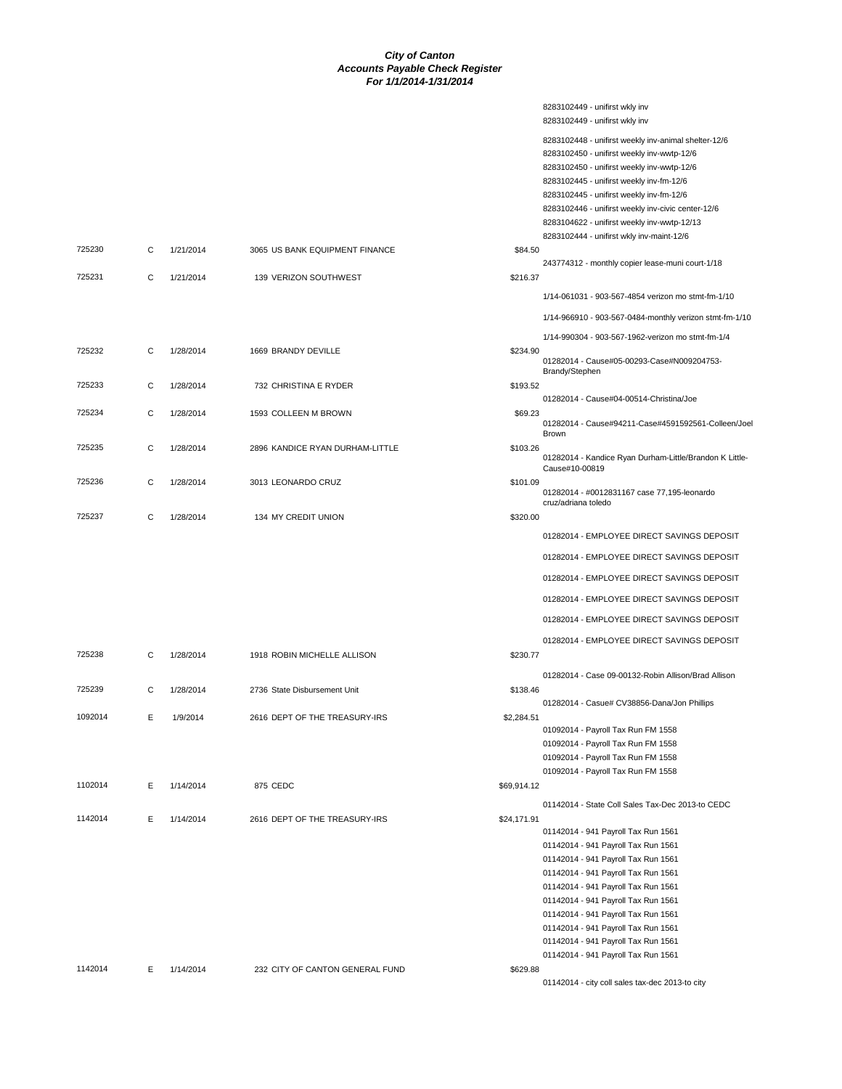8283102449 - unifirst wkly inv

|         |   |           |                                 |             | 8283102449 - unifirst wkly inv                                             |
|---------|---|-----------|---------------------------------|-------------|----------------------------------------------------------------------------|
|         |   |           |                                 |             | 8283102448 - unifirst weekly inv-animal shelter-12/6                       |
|         |   |           |                                 |             | 8283102450 - unifirst weekly inv-wwtp-12/6                                 |
|         |   |           |                                 |             | 8283102450 - unifirst weekly inv-wwtp-12/6                                 |
|         |   |           |                                 |             | 8283102445 - unifirst weekly inv-fm-12/6                                   |
|         |   |           |                                 |             | 8283102445 - unifirst weekly inv-fm-12/6                                   |
|         |   |           |                                 |             | 8283102446 - unifirst weekly inv-civic center-12/6                         |
|         |   |           |                                 |             | 8283104622 - unifirst weekly inv-wwtp-12/13                                |
|         |   |           |                                 |             | 8283102444 - unifirst wkly inv-maint-12/6                                  |
| 725230  | C | 1/21/2014 | 3065 US BANK EQUIPMENT FINANCE  | \$84.50     |                                                                            |
|         |   |           |                                 |             | 243774312 - monthly copier lease-muni court-1/18                           |
| 725231  | C | 1/21/2014 | 139 VERIZON SOUTHWEST           | \$216.37    |                                                                            |
|         |   |           |                                 |             | 1/14-061031 - 903-567-4854 verizon mo stmt-fm-1/10                         |
|         |   |           |                                 |             | 1/14-966910 - 903-567-0484-monthly verizon stmt-fm-1/10                    |
|         |   |           |                                 |             |                                                                            |
| 725232  | С | 1/28/2014 | 1669 BRANDY DEVILLE             | \$234.90    | 1/14-990304 - 903-567-1962-verizon mo stmt-fm-1/4                          |
|         |   |           |                                 |             | 01282014 - Cause#05-00293-Case#N009204753-                                 |
|         |   |           |                                 |             | Brandy/Stephen                                                             |
| 725233  | C | 1/28/2014 | 732 CHRISTINA E RYDER           | \$193.52    |                                                                            |
|         |   |           |                                 |             | 01282014 - Cause#04-00514-Christina/Joe                                    |
| 725234  | C | 1/28/2014 | 1593 COLLEEN M BROWN            | \$69.23     |                                                                            |
|         |   |           |                                 |             | 01282014 - Cause#94211-Case#4591592561-Colleen/Joel<br>Brown               |
| 725235  | C | 1/28/2014 | 2896 KANDICE RYAN DURHAM-LITTLE | \$103.26    |                                                                            |
|         |   |           |                                 |             | 01282014 - Kandice Ryan Durham-Little/Brandon K Little-                    |
|         |   |           |                                 |             | Cause#10-00819                                                             |
| 725236  | C | 1/28/2014 | 3013 LEONARDO CRUZ              | \$101.09    | 01282014 - #0012831167 case 77,195-leonardo                                |
|         |   |           |                                 |             | cruz/adriana toledo                                                        |
| 725237  | C | 1/28/2014 | 134 MY CREDIT UNION             | \$320.00    |                                                                            |
|         |   |           |                                 |             | 01282014 - EMPLOYEE DIRECT SAVINGS DEPOSIT                                 |
|         |   |           |                                 |             |                                                                            |
|         |   |           |                                 |             | 01282014 - EMPLOYEE DIRECT SAVINGS DEPOSIT                                 |
|         |   |           |                                 |             | 01282014 - EMPLOYEE DIRECT SAVINGS DEPOSIT                                 |
|         |   |           |                                 |             | 01282014 - EMPLOYEE DIRECT SAVINGS DEPOSIT                                 |
|         |   |           |                                 |             | 01282014 - EMPLOYEE DIRECT SAVINGS DEPOSIT                                 |
|         |   |           |                                 |             | 01282014 - EMPLOYEE DIRECT SAVINGS DEPOSIT                                 |
| 725238  | C | 1/28/2014 | 1918 ROBIN MICHELLE ALLISON     | \$230.77    |                                                                            |
|         |   |           |                                 |             |                                                                            |
|         |   |           |                                 |             | 01282014 - Case 09-00132-Robin Allison/Brad Allison                        |
| 725239  | C | 1/28/2014 | 2736 State Disbursement Unit    | \$138.46    |                                                                            |
|         |   |           |                                 |             | 01282014 - Casue# CV38856-Dana/Jon Phillips                                |
| 1092014 | Е | 1/9/2014  | 2616 DEPT OF THE TREASURY-IRS   | \$2,284.51  |                                                                            |
|         |   |           |                                 |             | 01092014 - Payroll Tax Run FM 1558                                         |
|         |   |           |                                 |             | 01092014 - Payroll Tax Run FM 1558                                         |
|         |   |           |                                 |             | 01092014 - Payroll Tax Run FM 1558                                         |
| 1102014 | Е | 1/14/2014 | 875 CEDC                        | \$69,914.12 | 01092014 - Payroll Tax Run FM 1558                                         |
|         |   |           |                                 |             |                                                                            |
|         |   |           |                                 |             | 01142014 - State Coll Sales Tax-Dec 2013-to CEDC                           |
| 1142014 | Е | 1/14/2014 | 2616 DEPT OF THE TREASURY-IRS   | \$24,171.91 |                                                                            |
|         |   |           |                                 |             | 01142014 - 941 Payroll Tax Run 1561                                        |
|         |   |           |                                 |             | 01142014 - 941 Payroll Tax Run 1561                                        |
|         |   |           |                                 |             | 01142014 - 941 Payroll Tax Run 1561                                        |
|         |   |           |                                 |             | 01142014 - 941 Payroll Tax Run 1561<br>01142014 - 941 Payroll Tax Run 1561 |
|         |   |           |                                 |             | 01142014 - 941 Payroll Tax Run 1561                                        |
|         |   |           |                                 |             | 01142014 - 941 Payroll Tax Run 1561                                        |
|         |   |           |                                 |             | 01142014 - 941 Payroll Tax Run 1561                                        |
|         |   |           |                                 |             | 01142014 - 941 Payroll Tax Run 1561                                        |
|         |   |           |                                 |             | 01142014 - 941 Payroll Tax Run 1561                                        |
| 1142014 | Е | 1/14/2014 | 232 CITY OF CANTON GENERAL FUND | \$629.88    |                                                                            |
|         |   |           |                                 |             | 01142014 - city coll sales tax-dec 2013-to city                            |